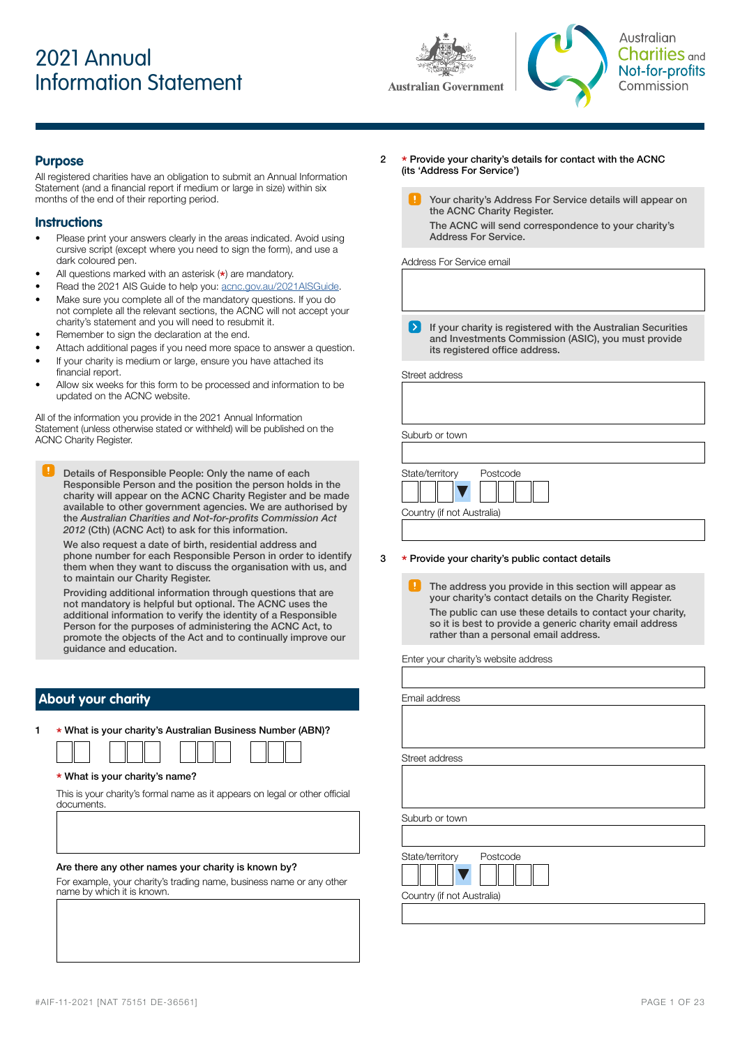# 2021 Annual Information Statement





Australian Charities <sub>and</sub> Not-for-profits Commission

### **Purpose**

All registered charities have an obligation to submit an Annual Information Statement (and a financial report if medium or large in size) within six months of the end of their reporting period.

### **Instructions**

- Please print your answers clearly in the areas indicated. Avoid using cursive script (except where you need to sign the form), and use a dark coloured pen.
- All questions marked with an asterisk  $(*)$  are mandatory.
- Read the 2021 AIS Guide to help you: [acnc.gov.au/2021AISGuide.](http://acnc.gov.au/2021aisguide)
- Make sure you complete all of the mandatory questions. If you do not complete all the relevant sections, the ACNC will not accept your charity's statement and you will need to resubmit it.
- Remember to sign the declaration at the end.
- Attach additional pages if you need more space to answer a question.
- If your charity is medium or large, ensure you have attached its financial report.
- Allow six weeks for this form to be processed and information to be updated on the ACNC website.

All of the information you provide in the 2021 Annual Information Statement (unless otherwise stated or withheld) will be published on the ACNC Charity Register.

Details of Responsible People: Only the name of each Responsible Person and the position the person holds in the charity will appear on the ACNC Charity Register and be made available to other government agencies. We are authorised by the Australian Charities and Not-for-profits Commission Act *2012* (Cth) (ACNC Act) to ask for this information.

We also request a date of birth, residential address and phone number for each Responsible Person in order to identify them when they want to discuss the organisation with us, and to maintain our Charity Register.

Providing additional information through questions that are not mandatory is helpful but optional. The ACNC uses the additional information to verify the identity of a Responsible Person for the purposes of administering the ACNC Act, to promote the objects of the Act and to continually improve our guidance and education.

### **About your charity**

<sup>1</sup> \* What is your charity's Australian Business Number (ABN)?

### \* What is your charity's name?

This is your charity's formal name as it appears on legal or other official documents.

### Are there any other names your charity is known by?

For example, your charity's trading name, business name or any other name by which it is known.

- <sup>2</sup> \* Provide your charity's details for contact with the ACNC (its 'Address For Service')
	- Your charity's Address For Service details will appear on the ACNC Charity Register. The ACNC will send correspondence to your charity's Address For Service.

Address For Service email

 $\sum$  If your charity is registered with the Australian Securities and Investments Commission (ASIC), you must provide its registered office address.

Street address

Suburb or town

| State/territory            | Postcode |  |  |  |
|----------------------------|----------|--|--|--|
|                            |          |  |  |  |
| Country (if not Australia) |          |  |  |  |
|                            |          |  |  |  |

### <sup>3</sup> \* Provide your charity's public contact details

The address you provide in this section will appear as your charity's contact details on the Charity Register. The public can use these details to contact your charity, so it is best to provide a generic charity email address rather than a personal email address.

Enter your charity's website address

Email address

Street address

Suburb or town

State/territory Postcode



Country (if not Australia)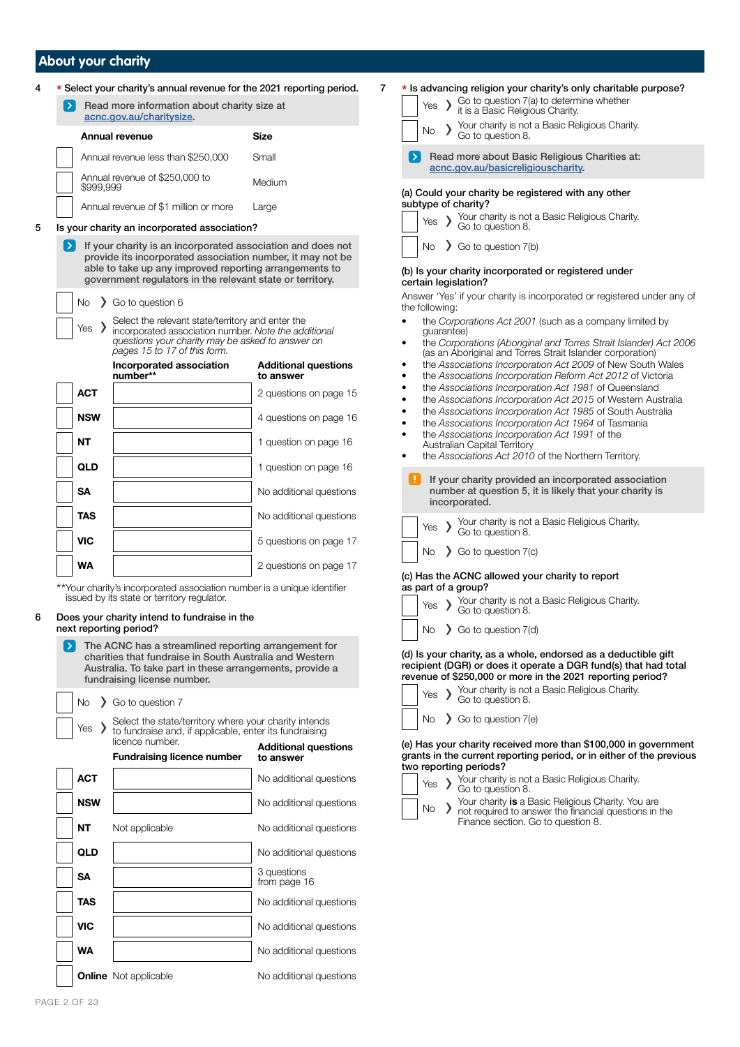### **About your charity**

|            | acnc.gov.au/charitysize.                                                                                                                                                                      |                                                                                                                                                                                         |
|------------|-----------------------------------------------------------------------------------------------------------------------------------------------------------------------------------------------|-----------------------------------------------------------------------------------------------------------------------------------------------------------------------------------------|
|            | <b>Annual revenue</b>                                                                                                                                                                         | <b>Size</b>                                                                                                                                                                             |
|            | Annual revenue less than \$250,000                                                                                                                                                            | Small                                                                                                                                                                                   |
| \$999,999  | Annual revenue of \$250,000 to                                                                                                                                                                | Medium                                                                                                                                                                                  |
|            | Annual revenue of \$1 million or more                                                                                                                                                         | Large                                                                                                                                                                                   |
|            | Is your charity an incorporated association?                                                                                                                                                  |                                                                                                                                                                                         |
|            | provide its incorporated association number, it may not be<br>able to take up any improved reporting arrangements to<br>government regulators in the relevant state or territory.             |                                                                                                                                                                                         |
| No         | So to question 6                                                                                                                                                                              |                                                                                                                                                                                         |
|            |                                                                                                                                                                                               |                                                                                                                                                                                         |
| Yes        | Select the relevant state/territory and enter the<br>incorporated association number. Note the additional<br>questions your charity may be asked to answer on<br>pages 15 to 17 of this form. |                                                                                                                                                                                         |
|            | Incorporated association<br>number**                                                                                                                                                          | to answer                                                                                                                                                                               |
| <b>ACT</b> |                                                                                                                                                                                               |                                                                                                                                                                                         |
| <b>NSW</b> |                                                                                                                                                                                               |                                                                                                                                                                                         |
| NΤ         |                                                                                                                                                                                               |                                                                                                                                                                                         |
| QLD        |                                                                                                                                                                                               |                                                                                                                                                                                         |
| SΑ         |                                                                                                                                                                                               |                                                                                                                                                                                         |
| TAS        |                                                                                                                                                                                               | <b>Additional questions</b><br>2 questions on page 15<br>4 questions on page 16<br>1 question on page 16<br>1 question on page 16<br>No additional questions<br>No additional questions |
| <b>VIC</b> |                                                                                                                                                                                               | 5 questions on page 17                                                                                                                                                                  |

# next reporting period?

| $\blacktriangleright$ $\vdash$<br>The ACNC has a streamlined reporting arrangement for<br>charities that fundraise in South Australia and Western<br>Australia. To take part in these arrangements, provide a<br>fundraising license number. |            |  |                                                                                                                 |                                          |  |
|----------------------------------------------------------------------------------------------------------------------------------------------------------------------------------------------------------------------------------------------|------------|--|-----------------------------------------------------------------------------------------------------------------|------------------------------------------|--|
|                                                                                                                                                                                                                                              | No.        |  | So to question 7                                                                                                |                                          |  |
|                                                                                                                                                                                                                                              | Yes $\sum$ |  | Select the state/territory where your charity intends<br>to fundraise and, if applicable, enter its fundraising |                                          |  |
|                                                                                                                                                                                                                                              |            |  | licence number.<br><b>Fundraising licence number</b>                                                            | <b>Additional questions</b><br>to answer |  |
|                                                                                                                                                                                                                                              | <b>ACT</b> |  |                                                                                                                 | No additional questions                  |  |
|                                                                                                                                                                                                                                              | <b>NSW</b> |  |                                                                                                                 | No additional questions                  |  |
|                                                                                                                                                                                                                                              | NΤ         |  | Not applicable                                                                                                  | No additional questions                  |  |
|                                                                                                                                                                                                                                              | QLD        |  |                                                                                                                 | No additional questions                  |  |
|                                                                                                                                                                                                                                              | <b>SA</b>  |  |                                                                                                                 | 3 questions<br>from page 16              |  |
|                                                                                                                                                                                                                                              | <b>TAS</b> |  |                                                                                                                 | No additional questions                  |  |
|                                                                                                                                                                                                                                              | <b>VIC</b> |  |                                                                                                                 | No additional questions                  |  |
|                                                                                                                                                                                                                                              | <b>WA</b>  |  |                                                                                                                 | No additional questions                  |  |
|                                                                                                                                                                                                                                              |            |  |                                                                                                                 |                                          |  |

**Online** Not applicable No additional questions

| 7 | * Is advancing religion your charity's only charitable purpose?<br>Yes $\sum$ Go to question $7(a)$ to determine whether it is a Basic Religious Charity.<br>No > Your charity is not a Basic Religious Charity.<br>Go to question 8. |
|---|---------------------------------------------------------------------------------------------------------------------------------------------------------------------------------------------------------------------------------------|
|   | Read more about Basic Religious Charities at:<br>acnc.gov.au/basicreligiouscharity.                                                                                                                                                   |
|   | (a) Could your charity be registered with any other<br>subtype of charity?                                                                                                                                                            |
|   | Yes > Your charity is not a Basic Religious Charity.<br>Go to question 8.<br>No $\sum$ Go to question $7(b)$                                                                                                                          |
|   | (b) Is your charity incorporated or registered under<br>certain legislation?                                                                                                                                                          |
|   | Answer 'Yes' if your charity is incorporated or registered under any of                                                                                                                                                               |

Answer 'Yes' if your charity is incorporated or registered under any of the following:

- the *Corporations Act 2001* (such as a company limited by guarantee)
- the *Corporations (Aboriginal and Torres Strait Islander) Act 2006* (as an Aboriginal and Torres Strait Islander corporation)
- the *Associations Incorporation Act 2009* of New South Wales
- the *Associations Incorporation Reform Act 2012* of Victoria
- the *Associations Incorporation Act 1981* of Queensland
- the *Associations Incorporation Act 2015* of Western Australia
- the *Associations Incorporation Act 1985* of South Australia
- the *Associations Incorporation Act 1964* of Tasmania
- the *Associations Incorporation Act 1991* of the Australian Capital Territory
- the *Associations Act 2010* of the Northern Territory.

**If** If your charity provided an incorporated association number at question 5, it is likely that your charity is incorporated.



### (c) Has the ACNC allowed your charity to report as part of a group?

|  |  | $\frac{1}{2}$ Yes $\rightarrow$ Your charity is not a Basic Religious Charity. |
|--|--|--------------------------------------------------------------------------------|
|--|--|--------------------------------------------------------------------------------|



(d) Is your charity, as a whole, endorsed as a deductible gift recipient (DGR) or does it operate a DGR fund(s) that had total revenue of \$250,000 or more in the 2021 reporting period?

|  | $\left  \begin{array}{ccc} \gamma_{\text{e}} & \gamma_{\text{e}} & \gamma_{\text{e}} \\ \gamma_{\text{e}} & \gamma_{\text{e}} & \gamma_{\text{e}} & \gamma_{\text{e}} \\ \gamma_{\text{e}} & \gamma_{\text{e}} & \gamma_{\text{e}} & \gamma_{\text{e}} \\ \gamma_{\text{e}} & \gamma_{\text{e}} & \gamma_{\text{e}} & \gamma_{\text{e}} \\ \gamma_{\text{e}} & \gamma_{\text{e}} & \gamma_{\text{e}} & \gamma_{\text{e}} \\ \gamma_{\text{e}} & \gamma_{\text{e}} & \gamma_{\text{e}} & \gamma_{\text{e}} \\ \gamma_{$ |  |
|--|------------------------------------------------------------------------------------------------------------------------------------------------------------------------------------------------------------------------------------------------------------------------------------------------------------------------------------------------------------------------------------------------------------------------------------------------------------------------------------------------------------------------|--|
|  |                                                                                                                                                                                                                                                                                                                                                                                                                                                                                                                        |  |

 $No \quad \sum$  Go to question  $7(e)$ 

(e) Has your charity received more than \$100,000 in government grants in the current reporting period, or in either of the previous two reporting periods?

›

Yes > Your charity is not a Basic Religious Charity.<br>
Go to question 8. No > Your charity is a Basic Religious Charity. You are<br>No > not required to answer the financial questions in the

Finance section. Go to question 8.

| <b>PAGE 2 OF 23</b> |  |  |
|---------------------|--|--|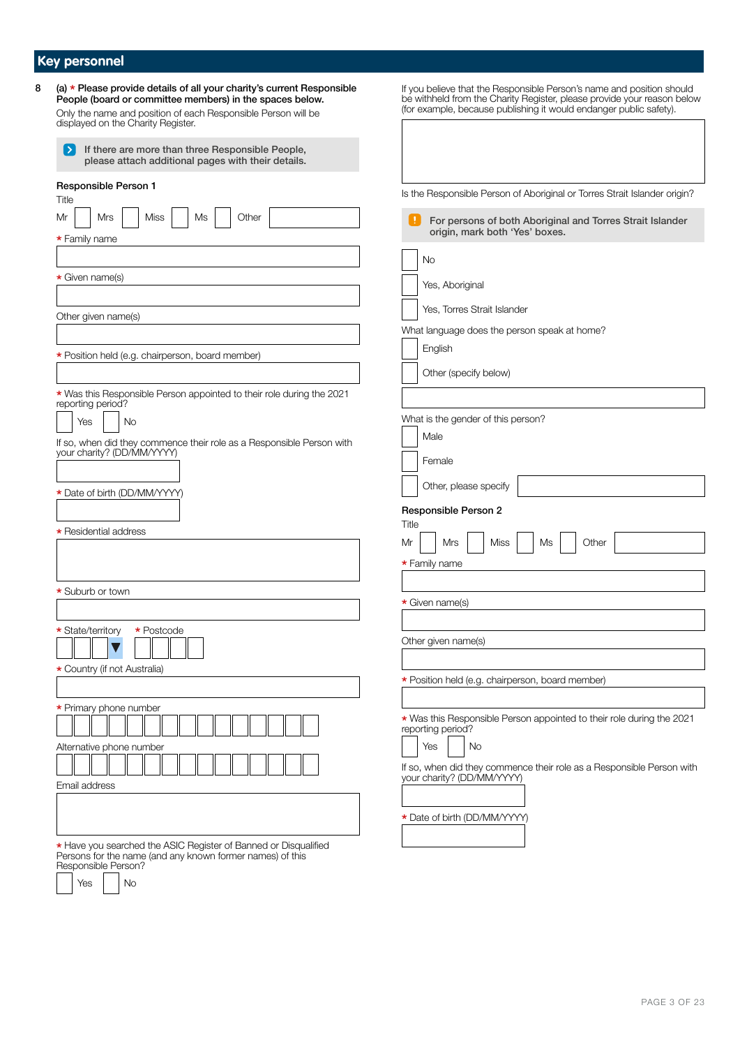# **Key personnel**

Responsible Person?

 $\sqrt{\frac{1}{1 + \frac{1}{1}} \times \frac{1}{1}}$  No

| (a) * Please provide details of all your charity's current Responsible<br>People (board or committee members) in the spaces below.<br>Only the name and position of each Responsible Person will be | If you believe that the Responsible Person's name and position should<br>be withheld from the Charity Register, please provide your reason below (for example, because publishing it would endanger public safety). |
|-----------------------------------------------------------------------------------------------------------------------------------------------------------------------------------------------------|---------------------------------------------------------------------------------------------------------------------------------------------------------------------------------------------------------------------|
| displayed on the Charity Register.<br>If there are more than three Responsible People,<br>please attach additional pages with their details.                                                        |                                                                                                                                                                                                                     |
| Responsible Person 1<br>Title                                                                                                                                                                       | Is the Responsible Person of Aboriginal or Torres Strait Islander origin?                                                                                                                                           |
| Mrs<br><b>Miss</b><br>Other<br>Mr<br>Ms<br>* Family name                                                                                                                                            | -11<br>For persons of both Aboriginal and Torres Strait Islander<br>origin, mark both 'Yes' boxes.                                                                                                                  |
|                                                                                                                                                                                                     | No                                                                                                                                                                                                                  |
| * Given name(s)                                                                                                                                                                                     | Yes, Aboriginal                                                                                                                                                                                                     |
| Other given name(s)                                                                                                                                                                                 | Yes, Torres Strait Islander                                                                                                                                                                                         |
|                                                                                                                                                                                                     | What language does the person speak at home?                                                                                                                                                                        |
| * Position held (e.g. chairperson, board member)                                                                                                                                                    | English                                                                                                                                                                                                             |
|                                                                                                                                                                                                     | Other (specify below)                                                                                                                                                                                               |
| * Was this Responsible Person appointed to their role during the 2021<br>reporting period?                                                                                                          | What is the gender of this person?                                                                                                                                                                                  |
| Yes<br><b>No</b><br>If so, when did they commence their role as a Responsible Person with<br>your charity? (DD/MM/YYYY)                                                                             | Male<br>Female                                                                                                                                                                                                      |
| * Date of birth (DD/MM/YYYY)                                                                                                                                                                        | Other, please specify                                                                                                                                                                                               |
|                                                                                                                                                                                                     | Responsible Person 2                                                                                                                                                                                                |
| * Residential address                                                                                                                                                                               | Title<br>Mrs<br>Other<br>Mr<br>Miss<br>Ms                                                                                                                                                                           |
|                                                                                                                                                                                                     | * Family name                                                                                                                                                                                                       |
| * Suburb or town                                                                                                                                                                                    |                                                                                                                                                                                                                     |
|                                                                                                                                                                                                     | * Given name(s)                                                                                                                                                                                                     |
| * State/territory<br>* Postcode                                                                                                                                                                     | Other given name(s)                                                                                                                                                                                                 |
| * Country (if not Australia)                                                                                                                                                                        |                                                                                                                                                                                                                     |
|                                                                                                                                                                                                     | * Position held (e.g. chairperson, board member)                                                                                                                                                                    |
| * Primary phone number                                                                                                                                                                              | * Was this Responsible Person appointed to their role during the 2021                                                                                                                                               |
| Alternative phone number                                                                                                                                                                            | reporting period?<br>Yes<br>No                                                                                                                                                                                      |
| Email address                                                                                                                                                                                       | If so, when did they commence their role as a Responsible Person with<br>your charity? (DD/MM/YYYY)                                                                                                                 |
|                                                                                                                                                                                                     | * Date of birth (DD/MM/YYYY)                                                                                                                                                                                        |
| * Have you searched the ASIC Register of Banned or Disqualified Persons for the name (and any known former names) of this                                                                           |                                                                                                                                                                                                                     |

PAGE 3 OF [23](#page-22-0)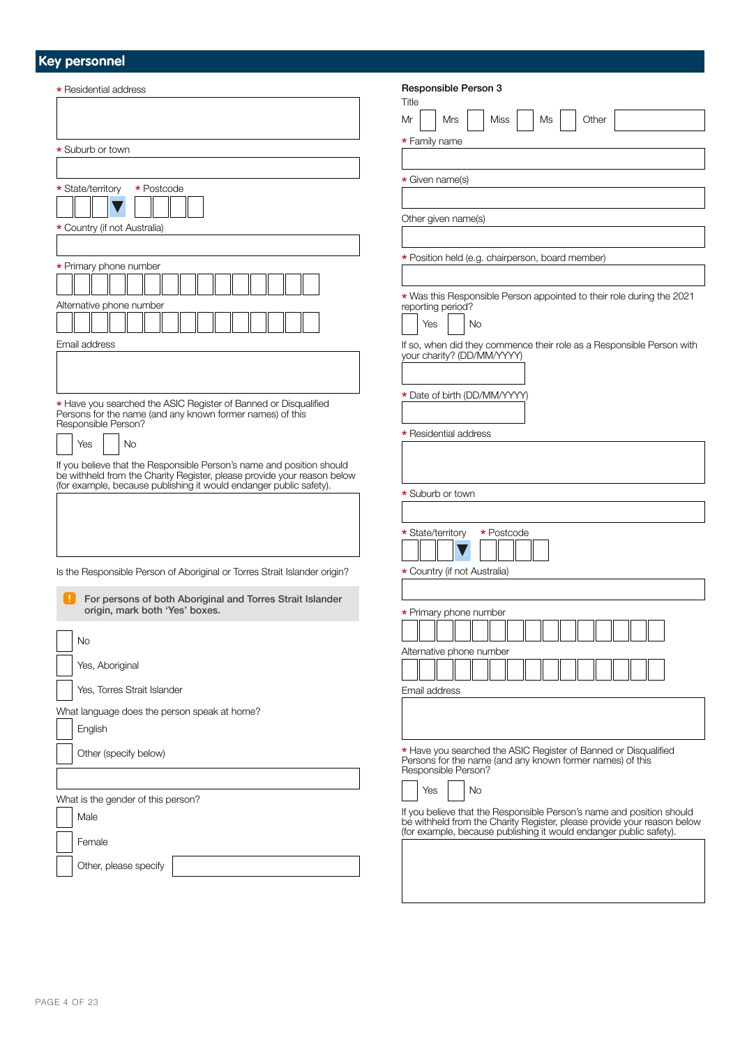## **Key personnel**

| * Residential address                                                            | Responsible Person 3<br>Title                                                                                                                                                                                       |
|----------------------------------------------------------------------------------|---------------------------------------------------------------------------------------------------------------------------------------------------------------------------------------------------------------------|
|                                                                                  | Mr<br>Other<br>Mrs<br>Miss<br>Ms                                                                                                                                                                                    |
| * Suburb or town                                                                 | * Family name                                                                                                                                                                                                       |
|                                                                                  |                                                                                                                                                                                                                     |
|                                                                                  | * Given name(s)                                                                                                                                                                                                     |
| * State/territory<br>* Postcode                                                  |                                                                                                                                                                                                                     |
| * Country (if not Australia)                                                     | Other given name(s)                                                                                                                                                                                                 |
|                                                                                  |                                                                                                                                                                                                                     |
|                                                                                  | * Position held (e.g. chairperson, board member)                                                                                                                                                                    |
| * Primary phone number                                                           |                                                                                                                                                                                                                     |
|                                                                                  | * Was this Responsible Person appointed to their role during the 2021                                                                                                                                               |
| Alternative phone number                                                         | reporting period?<br>Yes<br><b>No</b>                                                                                                                                                                               |
| Email address                                                                    |                                                                                                                                                                                                                     |
|                                                                                  | If so, when did they commence their role as a Responsible Person with<br>your charity? (DD/MM/YYYY)                                                                                                                 |
|                                                                                  |                                                                                                                                                                                                                     |
|                                                                                  | * Date of birth (DD/MM/YYYY)                                                                                                                                                                                        |
| * Have you searched the ASIC Register of Banned or Disqualified                  |                                                                                                                                                                                                                     |
| Persons for the name (and any known former names) of this<br>Responsible Person? |                                                                                                                                                                                                                     |
| <b>No</b><br>Yes                                                                 | * Residential address                                                                                                                                                                                               |
| If you believe that the Responsible Person's name and position should            |                                                                                                                                                                                                                     |
| be withheld from the Charity Register, please provide your reason below          |                                                                                                                                                                                                                     |
| (for example, because publishing it would endanger public safety).               | * Suburb or town                                                                                                                                                                                                    |
|                                                                                  |                                                                                                                                                                                                                     |
|                                                                                  | * State/territory<br>* Postcode                                                                                                                                                                                     |
|                                                                                  |                                                                                                                                                                                                                     |
|                                                                                  |                                                                                                                                                                                                                     |
| Is the Responsible Person of Aboriginal or Torres Strait Islander origin?        | * Country (if not Australia)                                                                                                                                                                                        |
| H.<br>For persons of both Aboriginal and Torres Strait Islander                  |                                                                                                                                                                                                                     |
| origin, mark both 'Yes' boxes.                                                   | * Primary phone number                                                                                                                                                                                              |
|                                                                                  |                                                                                                                                                                                                                     |
| No                                                                               | Alternative phone number                                                                                                                                                                                            |
| Yes, Aboriginal                                                                  |                                                                                                                                                                                                                     |
| Yes, Torres Strait Islander                                                      | Email address                                                                                                                                                                                                       |
| What language does the person speak at home?                                     |                                                                                                                                                                                                                     |
| English                                                                          |                                                                                                                                                                                                                     |
|                                                                                  | * Have you searched the ASIC Register of Banned or Disqualified                                                                                                                                                     |
| Other (specify below)                                                            | Persons for the name (and any known former names) of this<br>Responsible Person?                                                                                                                                    |
|                                                                                  |                                                                                                                                                                                                                     |
| What is the gender of this person?                                               | Yes<br>No                                                                                                                                                                                                           |
| Male                                                                             | If you believe that the Responsible Person's name and position should<br>be withheld from the Charity Register, please provide your reason below (for example, because publishing it would endanger public safety). |
| Female                                                                           |                                                                                                                                                                                                                     |
| Other, please specify                                                            |                                                                                                                                                                                                                     |
|                                                                                  |                                                                                                                                                                                                                     |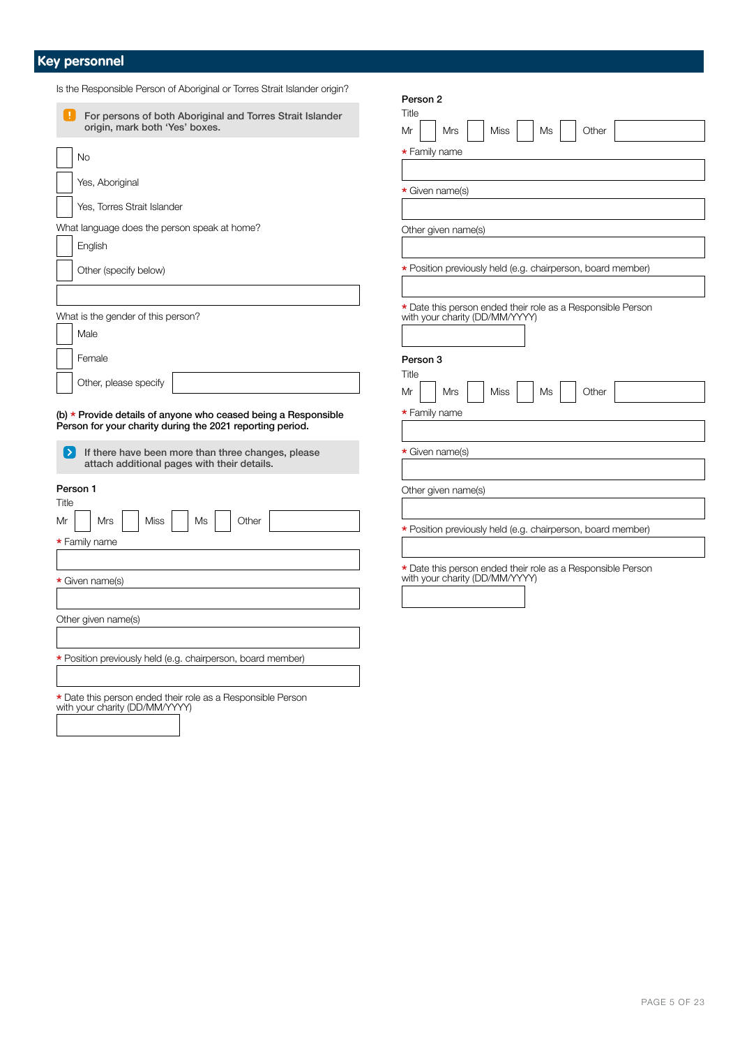### **Key personnel**

| Is the Responsible Person of Aboriginal or Torres Strait Islander origin?                                                   | Person 2                                                                                      |
|-----------------------------------------------------------------------------------------------------------------------------|-----------------------------------------------------------------------------------------------|
| ÷.<br>For persons of both Aboriginal and Torres Strait Islander<br>origin, mark both 'Yes' boxes.                           | Title<br>Mr<br>Mrs<br><b>Miss</b><br>Ms<br>Other                                              |
| No                                                                                                                          | * Family name                                                                                 |
| Yes, Aboriginal                                                                                                             | * Given name(s)                                                                               |
| Yes, Torres Strait Islander                                                                                                 |                                                                                               |
| What language does the person speak at home?<br>English                                                                     | Other given name(s)                                                                           |
| Other (specify below)                                                                                                       | * Position previously held (e.g. chairperson, board member)                                   |
| What is the gender of this person?<br>Male                                                                                  | * Date this person ended their role as a Responsible Person<br>with your charity (DD/MM/YYYY) |
| Female<br>Other, please specify                                                                                             | Person 3<br>Title                                                                             |
| (b) * Provide details of anyone who ceased being a Responsible<br>Person for your charity during the 2021 reporting period. | Mrs<br><b>Miss</b><br>Ms<br>Other<br>Mr<br><b>*</b> Family name                               |
| If there have been more than three changes, please<br>▸<br>attach additional pages with their details.                      | * Given name(s)                                                                               |
| Person 1<br>Title                                                                                                           | Other given name(s)                                                                           |
| Mrs<br><b>Miss</b><br>Other<br>Ms<br>Mr<br>* Family name                                                                    | * Position previously held (e.g. chairperson, board member)                                   |
| * Given name(s)                                                                                                             | * Date this person ended their role as a Responsible Person<br>with your charity (DD/MM/YYYY) |
| Other given name(s)                                                                                                         |                                                                                               |
| * Position previously held (e.g. chairperson, board member)                                                                 |                                                                                               |
| * Date this person ended their role as a Responsible Person<br>with your charity (DD/MM/YYYY)                               |                                                                                               |

held (e.g. chairperson, board member)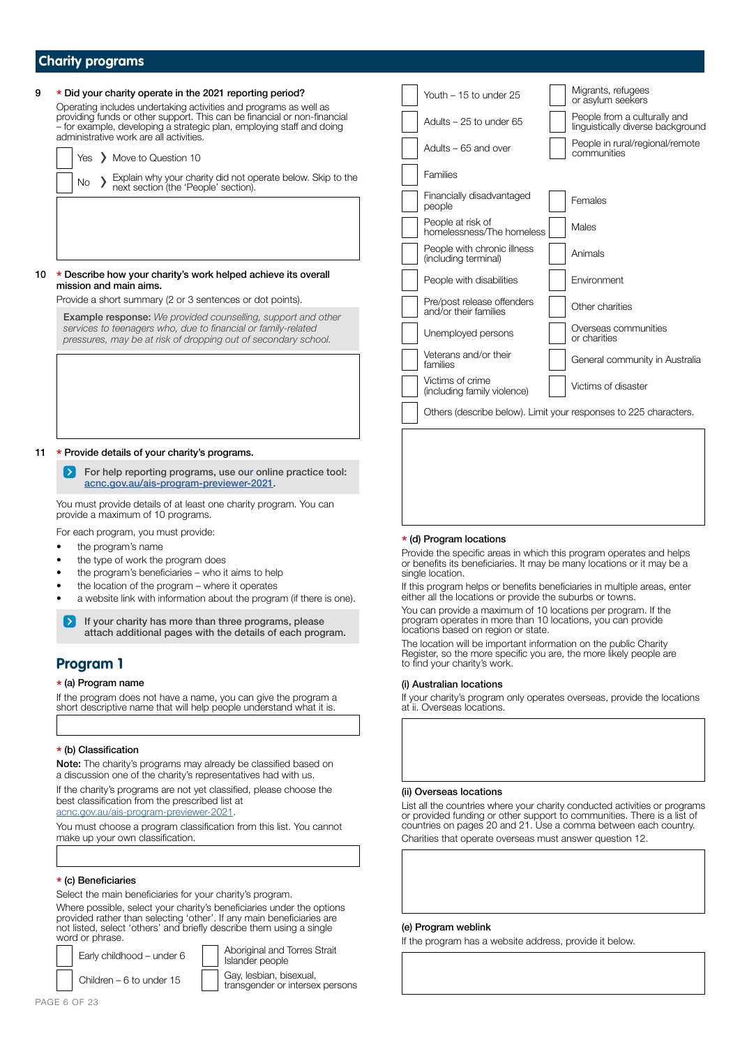# **Charity programs** <sup>9</sup> \* Did your charity operate in the 2021 reporting period? Operating includes undertaking activities and programs as well as providing funds or other support. This can be financial or non-financial – for example, developing a strategic plan, employing staff and doing administrative work are all activities. Yes > Move to Question 10 No > Explain why your charity did not operate below. Skip to the next section (the 'People' section). 10 \* Describe how your charity's work helped achieve its overall mission and main aims. Provide a short summary (2 or 3 sentences or dot points). Example response: *We provided counselling, support and other*  services to teenagers who, due to financial or family-related pressures, may be at risk of dropping out of secondary school.

#### 11 \* Provide details of your charity's programs.

For help reporting programs, use our online practice tool:  $\rightarrow$ [acnc.gov.au/ais-program-previewer-2021.](http://acnc.gov.au/ais-program-previewer-2021)

You must provide details of at least one charity program. You can provide a maximum of 10 programs.

For each program, you must provide:

- the program's name
- the type of work the program does
- the program's beneficiaries who it aims to help
- the location of the program where it operates
- a website link with information about the program (if there is one).
- If your charity has more than three programs, please attach additional pages with the details of each program.

### **Program 1**

#### \* (a) Program name

If the program does not have a name, you can give the program a short descriptive name that will help people understand what it is.

#### \* (b) Classification

Note: The charity's programs may already be classified based on a discussion one of the charity's representatives had with us.

If the charity's programs are not yet classified, please choose the best classification from the prescribed list at [acnc.gov.au/ais-program-previewer-2021](http://acnc.gov.au/ais-program-previewer-2021).

You must choose a program classification from this list. You cannot make up your own classification.

#### \* (c) Beneficiaries

Select the main beneficiaries for your charity's program.

Where possible, select your charity's beneficiaries under the options provided rather than selecting 'other'. If any main beneficiaries are not listed, select 'others' and briefly describe them using a single word or phrase.

Early childhood – under  $6 \overline{\phantom{a}}$  Aboriginal and Torres Strait Islander people

Children – 6 to under 15  $\Big|\begin{array}{c} \text{Gay, lessbian, bisexual,} \\ \text{trapezandor or interpolant.} \end{array}\Big|$ transgender or intersex persons



| Youth - 15 to under 25                              | Migrants, refugees<br>or asylum seekers                           |
|-----------------------------------------------------|-------------------------------------------------------------------|
| Adults – 25 to under 65                             | People from a culturally and<br>linguistically diverse background |
| Adults – 65 and over                                | People in rural/regional/remote<br>communities                    |
| Families                                            |                                                                   |
| Financially disadvantaged<br>people                 | Females                                                           |
| People at risk of<br>homelessness/The homeless      | Males                                                             |
| People with chronic illness<br>(including terminal) | Animals                                                           |
| People with disabilities                            | Environment                                                       |
| Pre/post release offenders<br>and/or their families | Other charities                                                   |
| Unemployed persons                                  | Overseas communities<br>or charities                              |
| Veterans and/or their<br>families                   | General community in Australia                                    |
| Victims of crime<br>(including family violence)     | Victims of disaster                                               |
|                                                     | Others (describe below). Limit your responses to 225 characters.  |
|                                                     |                                                                   |
|                                                     |                                                                   |

#### \* (d) Program locations

Provide the specific areas in which this program operates and helps or benefits its beneficiaries. It may be many locations or it may be a single location.

If this program helps or benefits beneficiaries in multiple areas, enter either all the locations or provide the suburbs or towns.

You can provide a maximum of 10 locations per program. If the program operates in more than 10 locations, you can provide locations based on region or state.

The location will be important information on the public Charity Register, so the more specific you are, the more likely people are to find your charity's work.

#### (i) Australian locations

If your charity's program only operates overseas, provide the locations at ii. Overseas locations.

#### (ii) Overseas locations

List all the countries where your charity conducted activities or programs or provided funding or other support to communities. There is a list of countries on pages 20 and 21. Use a comma between each country.

Charities that operate overseas must answer question 12.

#### (e) Program weblink

If the program has a website address, provide it below.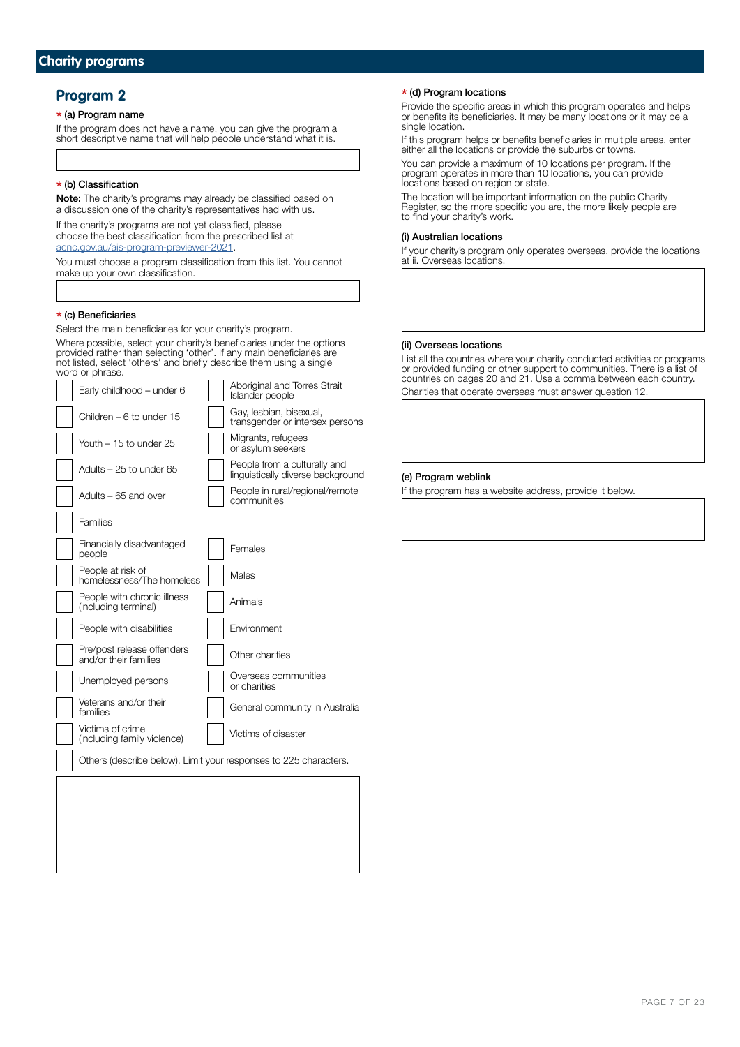### **Program 2**

### \* (a) Program name

If the program does not have a name, you can give the program a short descriptive name that will help people understand what it is.

### \* (b) Classification

Note: The charity's programs may already be classified based on a discussion one of the charity's representatives had with us.

If the charity's programs are not yet classified, please choose the best classification from the prescribed list at [acnc.gov.au/ais-program-previewer-2021.](http://acnc.gov.au/ais-program-previewer-2021)

You must choose a program classification from this list. You cannot make up your own classification.

### \* (c) Beneficiaries

Select the main beneficiaries for your charity's program.

Where possible, select your charity's beneficiaries under the options provided rather than selecting 'other'. If any main beneficiaries are not listed, select 'others' and briefly describe them using a single word or phrase.

 $E = \frac{1}{2}$  and  $E = \frac{1}{2}$  and  $E = \frac{1}{2}$ 

| Early childhood - under 6                                        | ADONGINAL AND TONES STAIL<br><b>Islander people</b>               |
|------------------------------------------------------------------|-------------------------------------------------------------------|
| Children - 6 to under 15                                         | Gay, lesbian, bisexual,<br>transgender or intersex persons        |
| Youth - 15 to under 25                                           | Migrants, refugees<br>or asylum seekers                           |
| Adults - 25 to under 65                                          | People from a culturally and<br>linguistically diverse background |
| Adults - 65 and over                                             | People in rural/regional/remote<br>communities                    |
| Families                                                         |                                                                   |
| Financially disadvantaged<br>people                              | Females                                                           |
| People at risk of<br>homelessness/The homeless                   | Males                                                             |
| People with chronic illness<br>(including terminal)              | Animals                                                           |
| People with disabilities                                         | Environment                                                       |
| Pre/post release offenders<br>and/or their families              | Other charities                                                   |
| Unemployed persons                                               | Overseas communities<br>or charities                              |
| Veterans and/or their<br>families                                | General community in Australia                                    |
| Victims of crime<br>(including family violence)                  | Victims of disaster                                               |
| Others (describe below). Limit your responses to 225 characters. |                                                                   |
|                                                                  |                                                                   |
|                                                                  |                                                                   |
|                                                                  |                                                                   |
|                                                                  |                                                                   |
|                                                                  |                                                                   |

### \* (d) Program locations

Provide the specific areas in which this program operates and helps or benefits its beneficiaries. It may be many locations or it may be a single location.

If this program helps or benefits beneficiaries in multiple areas, enter either all the locations or provide the suburbs or towns.

You can provide a maximum of 10 locations per program. If the program operates in more than 10 locations, you can provide locations based on region or state.

The location will be important information on the public Charity Register, so the more specific you are, the more likely people are to find your charity's work.

### (i) Australian locations

If your charity's program only operates overseas, provide the locations at ii. Overseas locations.

#### (ii) Overseas locations

List all the countries where your charity conducted activities or programs or provided funding or other support to communities. There is a list of countries on pages 20 and 21. Use a comma between each country. Charities that operate overseas must answer question 12.

#### (e) Program weblink

If the program has a website address, provide it below.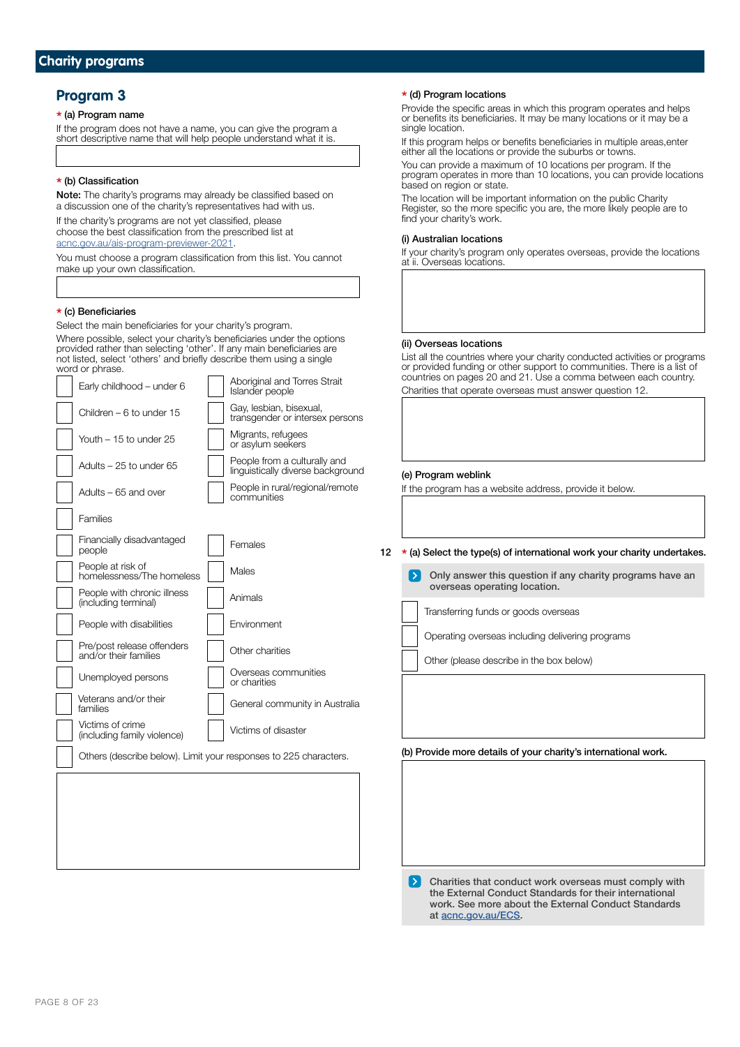### **Program 3**

### \* (a) Program name

If the program does not have a name, you can give the program a short descriptive name that will help people understand what it is.

#### \* (b) Classification

Note: The charity's programs may already be classified based on a discussion one of the charity's representatives had with us.

If the charity's programs are not yet classified, please choose the best classification from the prescribed list at [acnc.gov.au/ais-program-previewer-2021.](http://acnc.gov.au/ais-program-previewer-2021)

You must choose a program classification from this list. You cannot make up your own classification.

#### \* (c) Beneficiaries

Select the main beneficiaries for your charity's program. Where possible, select your charity's beneficiaries under the options provided rather than selecting 'other'. If any main beneficiaries are not listed, select 'others' and briefly describe them using a single word or phrase.  $\Box$  Aboriginal and Torres  $\Omega$ 

| Early childhood - under 6                                        | ADONGINAL QHU TUNGS ON AIL<br>Islander people                     |
|------------------------------------------------------------------|-------------------------------------------------------------------|
| Children - 6 to under 15                                         | Gay, lesbian, bisexual,<br>transgender or intersex persons        |
| Youth – 15 to under 25                                           | Migrants, refugees<br>or asylum seekers                           |
| Adults - 25 to under 65                                          | People from a culturally and<br>linguistically diverse background |
| Adults - 65 and over                                             | People in rural/regional/remote<br>communities                    |
| Families                                                         |                                                                   |
| Financially disadvantaged<br>people                              | Females                                                           |
| People at risk of<br>homelessness/The homeless                   | Males                                                             |
| People with chronic illness<br>(including terminal)              | Animals                                                           |
| People with disabilities                                         | Environment                                                       |
| Pre/post release offenders<br>and/or their families              | Other charities                                                   |
| Unemployed persons                                               | Overseas communities<br>or charities                              |
| Veterans and/or their<br>families                                | General community in Australia                                    |
| Victims of crime<br>(including family violence)                  | Victims of disaster                                               |
| Others (describe below). Limit your responses to 225 characters. |                                                                   |
|                                                                  |                                                                   |
|                                                                  |                                                                   |
|                                                                  |                                                                   |
|                                                                  |                                                                   |
|                                                                  |                                                                   |

#### \* (d) Program locations

Provide the specific areas in which this program operates and helps or benefits its beneficiaries. It may be many locations or it may be a single location.

If this program helps or benefits beneficiaries in multiple areas, enter either all the locations or provide the suburbs or towns.

You can provide a maximum of 10 locations per program. If the program operates in more than 10 locations, you can provide locations based on region or state.

The location will be important information on the public Charity Register, so the more specific you are, the more likely people are to find your charity's work.

#### (i) Australian locations

If your charity's program only operates overseas, provide the locations at ii. Overseas locations.

#### (ii) Overseas locations

List all the countries where your charity conducted activities or programs or provided funding or other support to communities. There is a list of countries on pages 20 and 21. Use a comma between each country. Charities that operate overseas must answer question 12.

#### (e) Program weblink

If the program has a website address, provide it below.

### 12  $\star$  (a) Select the type(s) of international work your charity undertakes.

Only answer this question if any charity programs have an overseas operating location.

Transferring funds or goods overseas

Operating overseas including delivering programs

Other (please describe in the box below)

 $\mathbf{L}$ Charities that conduct work overseas must comply with the External Conduct Standards for their international work. See more about the External Conduct Standards at [acnc.gov.au/ECS](https://www.acnc.gov.au/ECS).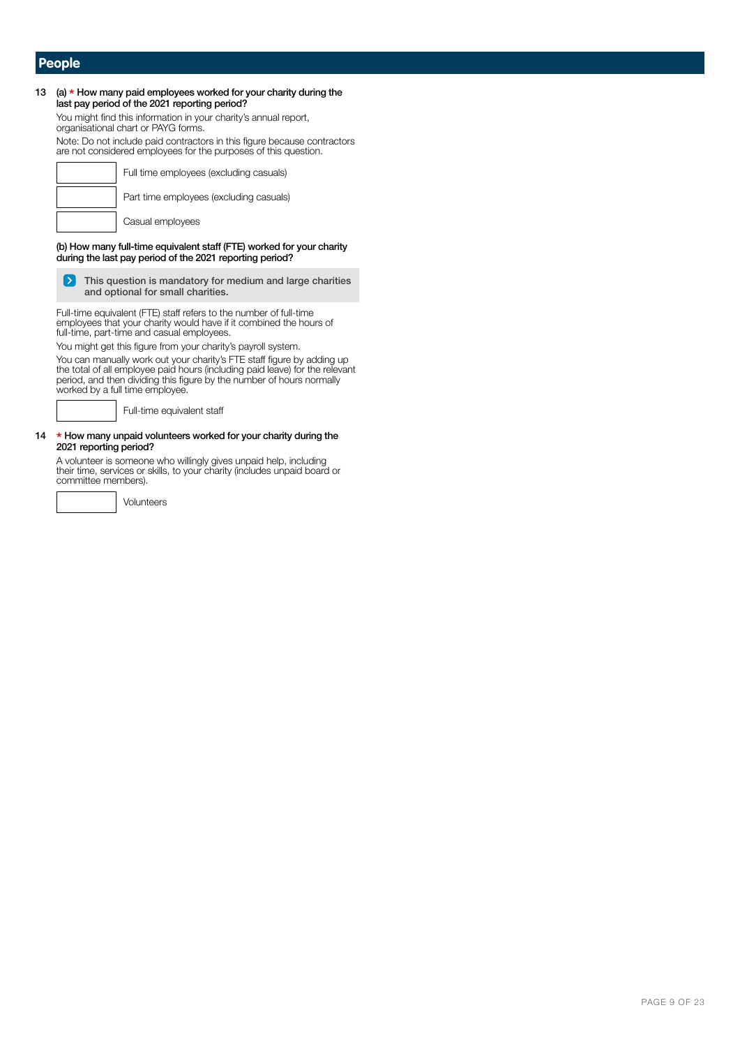### **People**

### 13 (a)  $*$  How many paid employees worked for your charity during the last pay period of the 2021 reporting period? You might find this information in your charity's annual report, organisational chart or PAYG forms. Note: Do not include paid contractors in this figure because contractors are not considered employees for the purposes of this question.Full time employees (excluding casuals) Part time employees (excluding casuals) Casual employees (b) How many full-time equivalent staff (FTE) worked for your charity during the last pay period of the 2021 reporting period? This question is mandatory for medium and large charities  $\triangleright$ and optional for small charities. Full-time equivalent (FTE) staff refers to the number of full-time employees that your charity would have if it combined the hours of full-time, part-time and casual employees. You might get this figure from your charity's payroll system. You can manually work out your charity's FTE staff figure by adding up the total of all employee paid hours (including paid leave) for the relevant period, and then dividing this figure by the number of hours normally worked by a full time employee.

Full-time equivalent staff

#### 14 \* How many unpaid volunteers worked for your charity during the 2021 reporting period?

A volunteer is someone who willingly gives unpaid help, including their time, services or skills, to your charity (includes unpaid board or committee members).

Volunteers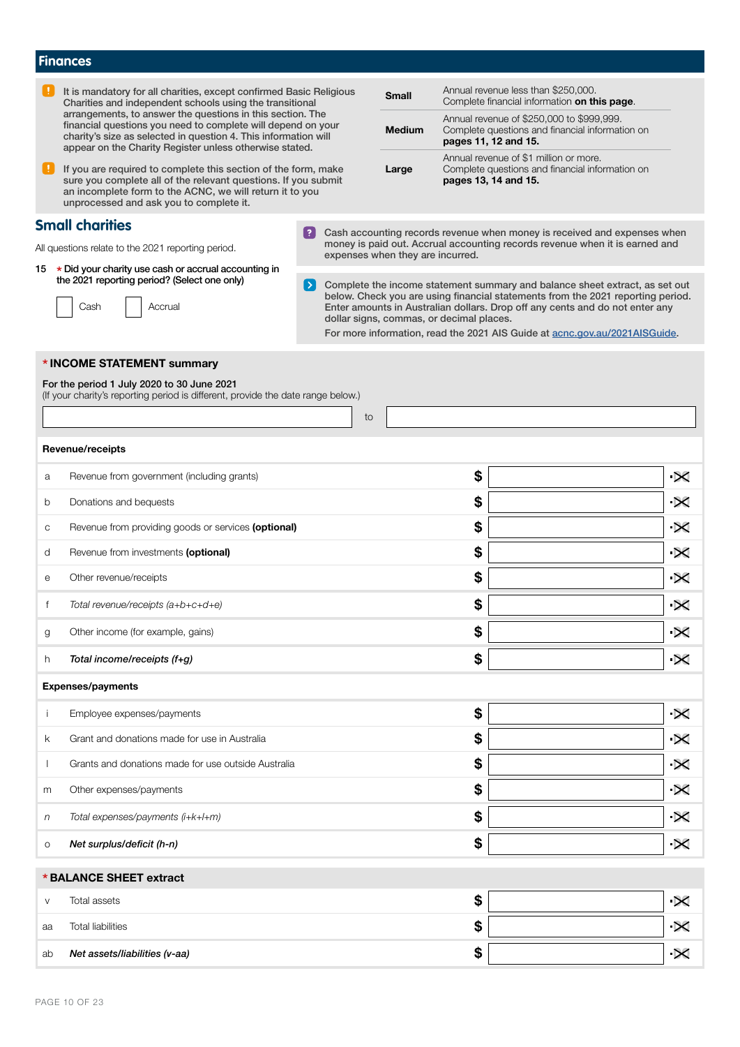|                                                                                                                                 | <b>Finances</b>                                                                                                                                                                                                                                          |                    |                                  |               |                                                                                                                      |                                                                                                                                                                                                                                                |                       |
|---------------------------------------------------------------------------------------------------------------------------------|----------------------------------------------------------------------------------------------------------------------------------------------------------------------------------------------------------------------------------------------------------|--------------------|----------------------------------|---------------|----------------------------------------------------------------------------------------------------------------------|------------------------------------------------------------------------------------------------------------------------------------------------------------------------------------------------------------------------------------------------|-----------------------|
| It is mandatory for all charities, except confirmed Basic Religious<br>Charities and independent schools using the transitional |                                                                                                                                                                                                                                                          |                    | <b>Small</b>                     |               | Annual revenue less than \$250,000.<br>Complete financial information on this page.                                  |                                                                                                                                                                                                                                                |                       |
|                                                                                                                                 | arrangements, to answer the questions in this section. The<br>financial questions you need to complete will depend on your<br>charity's size as selected in question 4. This information will<br>appear on the Charity Register unless otherwise stated. |                    |                                  | <b>Medium</b> | Annual revenue of \$250,000 to \$999,999.<br>Complete questions and financial information on<br>pages 11, 12 and 15. |                                                                                                                                                                                                                                                |                       |
|                                                                                                                                 | If you are required to complete this section of the form, make<br>sure you complete all of the relevant questions. If you submit<br>an incomplete form to the ACNC, we will return it to you<br>unprocessed and ask you to complete it.                  |                    |                                  | Large         |                                                                                                                      | Annual revenue of \$1 million or more.<br>Complete questions and financial information on<br>pages 13, 14 and 15.                                                                                                                              |                       |
|                                                                                                                                 | <b>Small charities</b>                                                                                                                                                                                                                                   |                    |                                  |               |                                                                                                                      | Cash accounting records revenue when money is received and expenses when                                                                                                                                                                       |                       |
|                                                                                                                                 | All questions relate to the 2021 reporting period.                                                                                                                                                                                                       |                    | expenses when they are incurred. |               |                                                                                                                      | money is paid out. Accrual accounting records revenue when it is earned and                                                                                                                                                                    |                       |
|                                                                                                                                 | 15 * Did your charity use cash or accrual accounting in<br>the 2021 reporting period? (Select one only)<br>Accrual<br>Cash                                                                                                                               | $\rightarrow$ $\,$ |                                  |               | dollar signs, commas, or decimal places.                                                                             | Complete the income statement summary and balance sheet extract, as set out<br>below. Check you are using financial statements from the 2021 reporting period.<br>Enter amounts in Australian dollars. Drop off any cents and do not enter any |                       |
|                                                                                                                                 |                                                                                                                                                                                                                                                          |                    |                                  |               |                                                                                                                      | For more information, read the 2021 AIS Guide at acnc.gov.au/2021AISGuide.                                                                                                                                                                     |                       |
|                                                                                                                                 | * INCOME STATEMENT summary<br>For the period 1 July 2020 to 30 June 2021<br>(If your charity's reporting period is different, provide the date range below.)                                                                                             |                    | to                               |               |                                                                                                                      |                                                                                                                                                                                                                                                |                       |
|                                                                                                                                 | Revenue/receipts                                                                                                                                                                                                                                         |                    |                                  |               |                                                                                                                      |                                                                                                                                                                                                                                                |                       |
| а                                                                                                                               | Revenue from government (including grants)                                                                                                                                                                                                               |                    |                                  |               | \$                                                                                                                   |                                                                                                                                                                                                                                                | $\propto$             |
| b                                                                                                                               | Donations and bequests                                                                                                                                                                                                                                   |                    |                                  |               | \$                                                                                                                   |                                                                                                                                                                                                                                                | $\overline{\times}$   |
| C                                                                                                                               | Revenue from providing goods or services (optional)                                                                                                                                                                                                      |                    |                                  |               | \$                                                                                                                   |                                                                                                                                                                                                                                                | $\propto$             |
| d                                                                                                                               | Revenue from investments (optional)                                                                                                                                                                                                                      |                    |                                  |               | \$                                                                                                                   |                                                                                                                                                                                                                                                | $\propto$             |
| е                                                                                                                               | Other revenue/receipts                                                                                                                                                                                                                                   |                    |                                  |               | \$                                                                                                                   |                                                                                                                                                                                                                                                | $\propto$             |
| f                                                                                                                               | Total revenue/receipts (a+b+c+d+e)                                                                                                                                                                                                                       |                    |                                  |               | \$                                                                                                                   |                                                                                                                                                                                                                                                | ·×                    |
| g                                                                                                                               | Other income (for example, gains)                                                                                                                                                                                                                        |                    |                                  |               | \$                                                                                                                   |                                                                                                                                                                                                                                                | $\propto$             |
| h                                                                                                                               | Total income/receipts (f+g)                                                                                                                                                                                                                              |                    |                                  |               | \$                                                                                                                   |                                                                                                                                                                                                                                                | $\propto$             |
|                                                                                                                                 | <b>Expenses/payments</b>                                                                                                                                                                                                                                 |                    |                                  |               |                                                                                                                      |                                                                                                                                                                                                                                                |                       |
|                                                                                                                                 | Employee expenses/payments                                                                                                                                                                                                                               |                    |                                  |               | \$                                                                                                                   |                                                                                                                                                                                                                                                | $\overline{\times}$   |
| k                                                                                                                               | Grant and donations made for use in Australia                                                                                                                                                                                                            |                    |                                  |               | \$                                                                                                                   |                                                                                                                                                                                                                                                | $\propto$             |
|                                                                                                                                 | Grants and donations made for use outside Australia                                                                                                                                                                                                      |                    |                                  |               | \$                                                                                                                   |                                                                                                                                                                                                                                                | $\propto$             |
| m                                                                                                                               | Other expenses/payments                                                                                                                                                                                                                                  |                    |                                  |               | \$                                                                                                                   |                                                                                                                                                                                                                                                | $\overline{\times}$   |
| n                                                                                                                               | Total expenses/payments (i+k+l+m)                                                                                                                                                                                                                        |                    |                                  |               | \$                                                                                                                   |                                                                                                                                                                                                                                                | $\propto$             |
| O                                                                                                                               | Net surplus/deficit (h-n)                                                                                                                                                                                                                                |                    |                                  |               | \$                                                                                                                   |                                                                                                                                                                                                                                                | $\boldsymbol{\times}$ |
|                                                                                                                                 | *BALANCE SHEET extract                                                                                                                                                                                                                                   |                    |                                  |               |                                                                                                                      |                                                                                                                                                                                                                                                |                       |
| V                                                                                                                               | Total assets                                                                                                                                                                                                                                             |                    |                                  |               | \$                                                                                                                   |                                                                                                                                                                                                                                                | $\propto$             |
| aa                                                                                                                              | <b>Total liabilities</b>                                                                                                                                                                                                                                 |                    |                                  |               | \$                                                                                                                   |                                                                                                                                                                                                                                                | $\propto$             |
| ab                                                                                                                              | Net assets/liabilities (v-aa)                                                                                                                                                                                                                            |                    |                                  |               | \$                                                                                                                   |                                                                                                                                                                                                                                                | $\overline{\times}$   |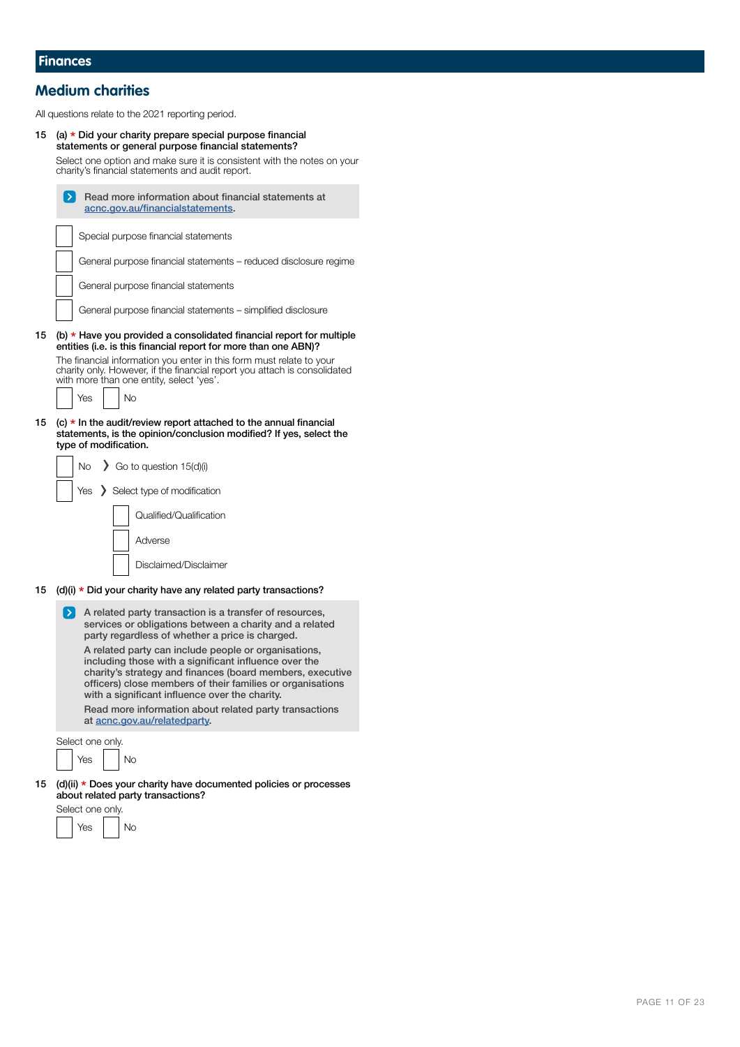## **Medium charities**

All questions relate to the 2021 reporting period.

<sup>15</sup> (a) \* Did your charity prepare special purpose financial statements or general purpose financial statements?

Select one option and make sure it is consistent with the notes on your

|    | charity's financial statements and audit report.                                                                                                                                                                                                                                           |  |  |  |
|----|--------------------------------------------------------------------------------------------------------------------------------------------------------------------------------------------------------------------------------------------------------------------------------------------|--|--|--|
|    | Read more information about financial statements at<br>$\geq$ 1<br>acnc.gov.au/financialstatements.                                                                                                                                                                                        |  |  |  |
|    | Special purpose financial statements                                                                                                                                                                                                                                                       |  |  |  |
|    | General purpose financial statements – reduced disclosure regime                                                                                                                                                                                                                           |  |  |  |
|    | General purpose financial statements                                                                                                                                                                                                                                                       |  |  |  |
|    | General purpose financial statements – simplified disclosure                                                                                                                                                                                                                               |  |  |  |
| 15 | (b) $*$ Have you provided a consolidated financial report for multiple<br>entities (i.e. is this financial report for more than one ABN)?                                                                                                                                                  |  |  |  |
|    | The financial information you enter in this form must relate to your<br>charity only. However, if the financial report you attach is consolidated<br>with more than one entity, select 'yes'.                                                                                              |  |  |  |
|    | Yes<br>No                                                                                                                                                                                                                                                                                  |  |  |  |
| 15 | (c) $\star$ In the audit/review report attached to the annual financial<br>statements, is the opinion/conclusion modified? If yes, select the<br>type of modification.                                                                                                                     |  |  |  |
|    | No.<br>$\triangleright$ Go to question 15(d)(i)                                                                                                                                                                                                                                            |  |  |  |
|    | $Yes$ Select type of modification                                                                                                                                                                                                                                                          |  |  |  |
|    | Qualified/Qualification                                                                                                                                                                                                                                                                    |  |  |  |
|    | Adverse                                                                                                                                                                                                                                                                                    |  |  |  |
|    | Disclaimed/Disclaimer                                                                                                                                                                                                                                                                      |  |  |  |
| 15 | $(d)(i)$ * Did your charity have any related party transactions?                                                                                                                                                                                                                           |  |  |  |
|    | $\rightarrow$ $\overline{\phantom{a}}$<br>A related party transaction is a transfer of resources,<br>services or obligations between a charity and a related<br>party regardless of whether a price is charged.                                                                            |  |  |  |
|    | A related party can include people or organisations,<br>including those with a significant influence over the<br>charity's strategy and finances (board members, executive<br>officers) close members of their families or organisations<br>with a significant influence over the charity. |  |  |  |
|    | Read more information about related party transactions<br>at acnc.gov.au/relatedparty.                                                                                                                                                                                                     |  |  |  |
|    | Select one only.<br>Yes<br>No                                                                                                                                                                                                                                                              |  |  |  |
| 15 | (d)(ii) * Does your charity have documented policies or processes<br>about related party transactions?                                                                                                                                                                                     |  |  |  |
|    | Select one only.                                                                                                                                                                                                                                                                           |  |  |  |
|    | and the state of the state of the                                                                                                                                                                                                                                                          |  |  |  |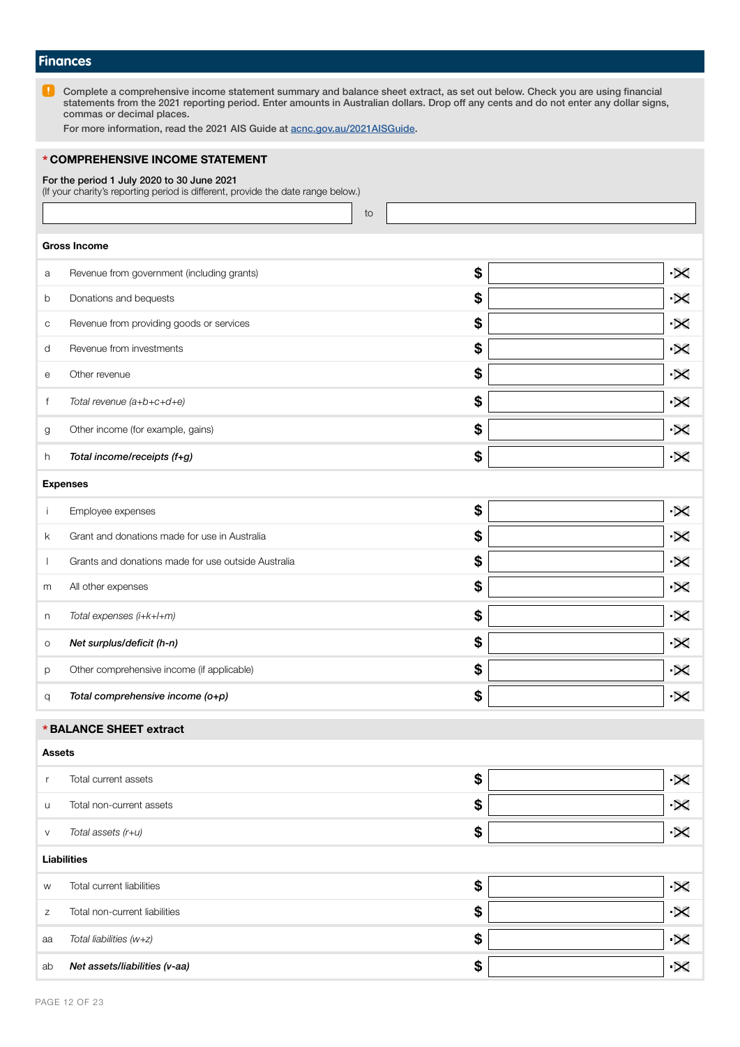### **Finances**

 $\blacksquare$ Complete a comprehensive income statement summary and balance sheet extract, as set out below. Check you are using financial statements from the 2021 reporting period. Enter amounts in Australian dollars. Drop off any cents and do not enter any dollar signs, commas or decimal places.

For more information, read the 2021 AIS Guide at [acnc.gov.au/2021AISGuide.](http://acnc.gov.au/2021aisguide)

### \* COMPREHENSIVE INCOME STATEMENT

For the period 1 July 2020 to 30 June 2021

(If your charity's reporting period is different, provide the date range below.)

to

### Gross Income

| а       | Revenue from government (including grants)          | \$<br>$\times$              |
|---------|-----------------------------------------------------|-----------------------------|
| b       | Donations and bequests                              | \$<br>$\times$              |
| C       | Revenue from providing goods or services            | \$<br>$\times$              |
| d       | Revenue from investments                            | \$<br>$\times$              |
| е       | Other revenue                                       | \$<br>$\times$              |
| f       | Total revenue (a+b+c+d+e)                           | \$<br>$\times$              |
| g       | Other income (for example, gains)                   | \$<br>$\times$              |
| h       | Total income/receipts (f+g)                         | \$<br>$\times$              |
|         |                                                     |                             |
|         | <b>Expenses</b>                                     |                             |
| j       | Employee expenses                                   | \$<br>$\boldsymbol{\times}$ |
| k.      | Grant and donations made for use in Australia       | \$<br>$\boldsymbol{\times}$ |
|         | Grants and donations made for use outside Australia | \$<br>$\boldsymbol{\times}$ |
| m       | All other expenses                                  | \$<br>$\times$              |
| n       | Total expenses (i+k+l+m)                            | \$<br>$\times$              |
| $\circ$ | Net surplus/deficit (h-n)                           | \$<br>$\times$              |
| p       | Other comprehensive income (if applicable)          | \$<br>$\boldsymbol{\times}$ |

#### \* BALANCE SHEET extract

### Assets r Total current assets **\$**  $\boldsymbol{\times}$ u Total non-current assets **\$**  $\overline{\mathbf{X}}$ v *Total assets (r+u)*  $\bullet$  $\times$ Liabilities w Total current liabilities  $\mathbb{S}$  $\infty$ z Total non-current liabilities **\$**  $\boldsymbol{\times}$ aa *Total liabilities (w+z)* \$  $\mathbf{\times}$ ab Net assets/liabilities (v-aa) **\$**  $\mathbf{\times}$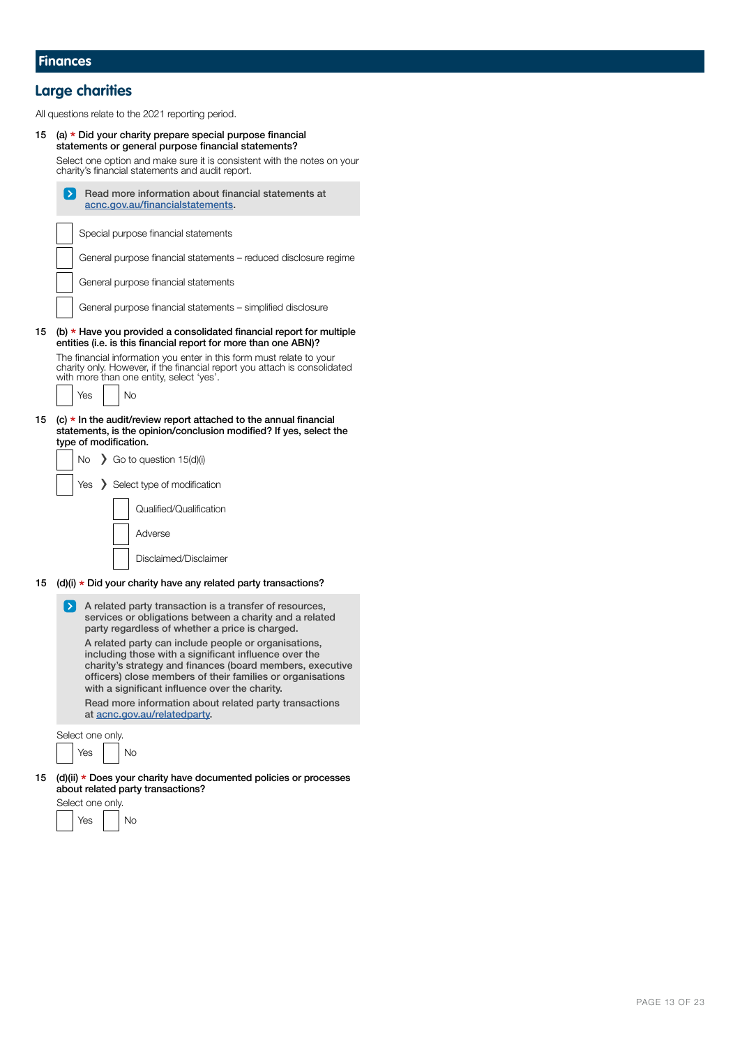# **Large charities**

All questions relate to the 2021 reporting period.

| 15 | (a) $\star$ Did your charity prepare special purpose financial<br>statements or general purpose financial statements?<br>Select one option and make sure it is consistent with the notes on your<br>charity's financial statements and audit report.                                                                                                                                 |
|----|--------------------------------------------------------------------------------------------------------------------------------------------------------------------------------------------------------------------------------------------------------------------------------------------------------------------------------------------------------------------------------------|
|    | Read more information about financial statements at<br>acnc.gov.au/financialstatements.                                                                                                                                                                                                                                                                                              |
|    | Special purpose financial statements                                                                                                                                                                                                                                                                                                                                                 |
|    | General purpose financial statements - reduced disclosure regime                                                                                                                                                                                                                                                                                                                     |
|    | General purpose financial statements                                                                                                                                                                                                                                                                                                                                                 |
|    | General purpose financial statements - simplified disclosure                                                                                                                                                                                                                                                                                                                         |
| 15 | (b) $\star$ Have you provided a consolidated financial report for multiple<br>entities (i.e. is this financial report for more than one ABN)?                                                                                                                                                                                                                                        |
|    | The financial information you enter in this form must relate to your<br>charity only. However, if the financial report you attach is consolidated<br>with more than one entity, select 'yes'.                                                                                                                                                                                        |
|    | <b>No</b><br>Yes                                                                                                                                                                                                                                                                                                                                                                     |
| 15 | $(c)$ * In the audit/review report attached to the annual financial<br>statements, is the opinion/conclusion modified? If yes, select the<br>type of modification.<br>$\sum$ Go to question 15(d)(i)<br>No.                                                                                                                                                                          |
|    | Select type of modification<br>Yes                                                                                                                                                                                                                                                                                                                                                   |
|    | Qualified/Qualification                                                                                                                                                                                                                                                                                                                                                              |
|    | Adverse                                                                                                                                                                                                                                                                                                                                                                              |
|    | Disclaimed/Disclaimer                                                                                                                                                                                                                                                                                                                                                                |
| 15 | $(d)(i)$ * Did your charity have any related party transactions?                                                                                                                                                                                                                                                                                                                     |
|    | $\geq$ $\geq$<br>A related party transaction is a transfer of resources,<br>services or obligations between a charity and a related<br>party regardless of whether a price is charged.                                                                                                                                                                                               |
|    | A related party can include people or organisations,<br>including those with a significant influence over the<br>charity's strategy and finances (board members, executive<br>officers) close members of their families or organisations<br>with a significant influence over the charity.<br>Read more information about related party transactions<br>at acnc.gov.au/relatedparty. |
|    | Select one only.                                                                                                                                                                                                                                                                                                                                                                     |
|    | <b>No</b><br>Yes                                                                                                                                                                                                                                                                                                                                                                     |
| 15 | (d)(ii) * Does your charity have documented policies or processes<br>about related party transactions?                                                                                                                                                                                                                                                                               |

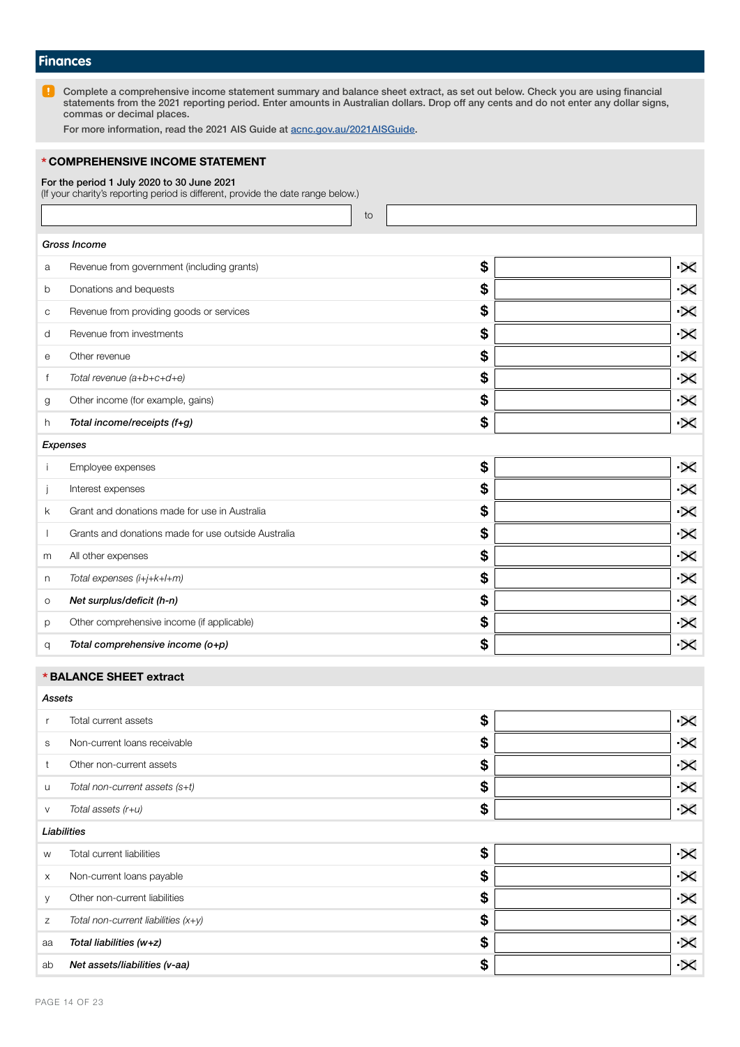### **Finances**

n Complete a comprehensive income statement summary and balance sheet extract, as set out below. Check you are using financial statements from the 2021 reporting period. Enter amounts in Australian dollars. Drop off any cents and do not enter any dollar signs, commas or decimal places.

For more information, read the 2021 AIS Guide at [acnc.gov.au/2021AISGuide.](http://acnc.gov.au/2021aisguide)

### \* COMPREHENSIVE INCOME STATEMENT

#### For the period 1 July 2020 to 30 June 2021

(If your charity's reporting period is different, provide the date range below.)

to

|   | Gross Income                                        |                             |
|---|-----------------------------------------------------|-----------------------------|
| a | Revenue from government (including grants)          | \$<br>$\times$              |
| b | Donations and bequests                              | \$<br>$\times$              |
| C | Revenue from providing goods or services            | \$<br>$\boldsymbol{\times}$ |
| d | Revenue from investments                            | \$<br>$\times$              |
| e | Other revenue                                       | \$<br>$\times$              |
| f | Total revenue (a+b+c+d+e)                           | \$<br>$\times$              |
| g | Other income (for example, gains)                   | \$<br>$\boldsymbol{\times}$ |
| h | Total income/receipts (f+g)                         | \$<br>$\boldsymbol{\times}$ |
|   | Expenses                                            |                             |
|   | Employee expenses                                   | \$<br>$\times$              |
|   | Interest expenses                                   | \$<br>$\times$              |
| k | Grant and donations made for use in Australia       | \$<br>$\times$              |
|   | Grants and donations made for use outside Australia | \$<br>$\times$              |
| m | All other expenses                                  | \$<br>$\times$              |

|   | Total expenses (i+j+k+l+m)                 | œ |  |
|---|--------------------------------------------|---|--|
| O | Net surplus/deficit (h-n)                  | œ |  |
|   | Other comprehensive income (if applicable) | Ð |  |
|   | Total comprehensive income (o+p)           | Ð |  |

### \* BALANCE SHEET extract

*Assets*

|          | Total current assets                  | \$<br>$\boldsymbol{\times}$ |
|----------|---------------------------------------|-----------------------------|
| S        | Non-current loans receivable          | \$<br>$\boldsymbol{\times}$ |
| t        | Other non-current assets              | \$<br>$\boldsymbol{\times}$ |
| u        | Total non-current assets (s+t)        | \$<br>$\boldsymbol{\times}$ |
| V        | Total assets (r+u)                    | \$<br>$\times$              |
|          | Liabilities                           |                             |
| W        | Total current liabilities             | \$<br>$\boldsymbol{\times}$ |
| $\times$ | Non-current loans payable             | \$<br>$\times$              |
| У        | Other non-current liabilities         | \$<br>$\boldsymbol{\times}$ |
| Ζ        | Total non-current liabilities $(x+y)$ | \$<br>$\boldsymbol{\times}$ |
| aa       | Total liabilities (w+z)               | \$<br>$\boldsymbol{\times}$ |
|          |                                       |                             |

\$

 $\overline{\mathbf{R}}$ 

ab Net assets/liabilities (v-aa)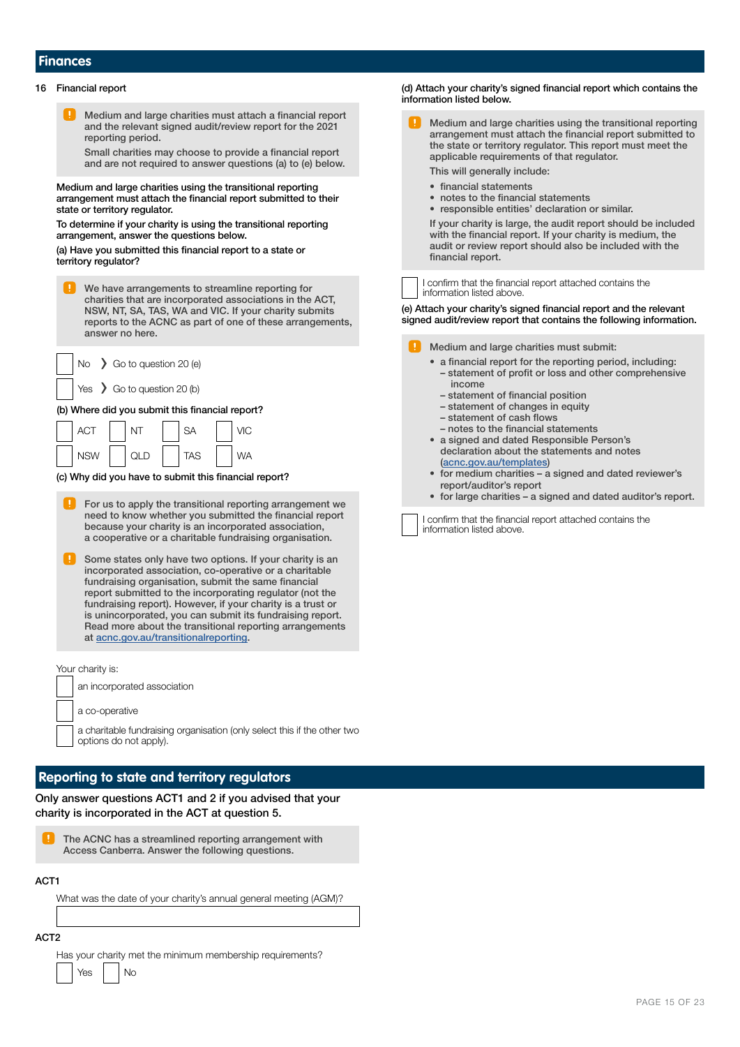### **Finances**

#### 16 Financial report

Medium and large charities must attach a financial report and the relevant signed audit/review report for the 2021 reporting period.

Small charities may choose to provide a financial report and are not required to answer questions (a) to (e) below.

Medium and large charities using the transitional reporting arrangement must attach the financial report submitted to their state or territory regulator.

To determine if your charity is using the transitional reporting arrangement, answer the questions below.

(a) Have you submitted this financial report to a state or territory regulator?

| We have arrangements to streamline reporting for          |
|-----------------------------------------------------------|
| charities that are incorporated associations in the ACT,  |
| NSW, NT, SA, TAS, WA and VIC. If your charity submits     |
| reports to the ACNC as part of one of these arrangements, |
| answer no here.                                           |
|                                                           |

|  | $\big $ No $\big $ Go to question 20 (e)         |
|--|--------------------------------------------------|
|  | $\forall$ es $\rightarrow$ Go to question 20 (b) |

(b) Where did you submit this financial report?

NSW | QLD  $NT$   $|$   $|$   $SA$ TAS VIC WA

(c) Why did you have to submit this financial report?

- For us to apply the transitional reporting arrangement we need to know whether you submitted the financial report because your charity is an incorporated association, a cooperative or a charitable fundraising organisation.
- Some states only have two options. If your charity is an incorporated association, co-operative or a charitable fundraising organisation, submit the same financial report submitted to the incorporating regulator (not the fundraising report). However, if your charity is a trust or is unincorporated, you can submit its fundraising report. Read more about the transitional reporting arrangements at [acnc.gov.au/transitionalreporting](https://www.acnc.gov.au/for-charities/manage-your-charity/obligations-acnc/reporting-annually-acnc/transitional-reporting).

Your charity is:

ACT

| an incorporated association |
|-----------------------------|
|                             |
|                             |

a co-operative

a charitable fundraising organisation (only select this if the other two options do not apply).

### **Reporting to state and territory regulators**

Only answer questions ACT1 and 2 if you advised that your charity is incorporated in the ACT at question 5.

The ACNC has a streamlined reporting arrangement with Access Canberra. Answer the following questions.

ACT1

What was the date of your charity's annual general meeting (AGM)?

ACT2

Has your charity met the minimum membership requirements?

 $Yes$   $|$   $|$  No

(d) Attach your charity's signed financial report which contains the information listed below.

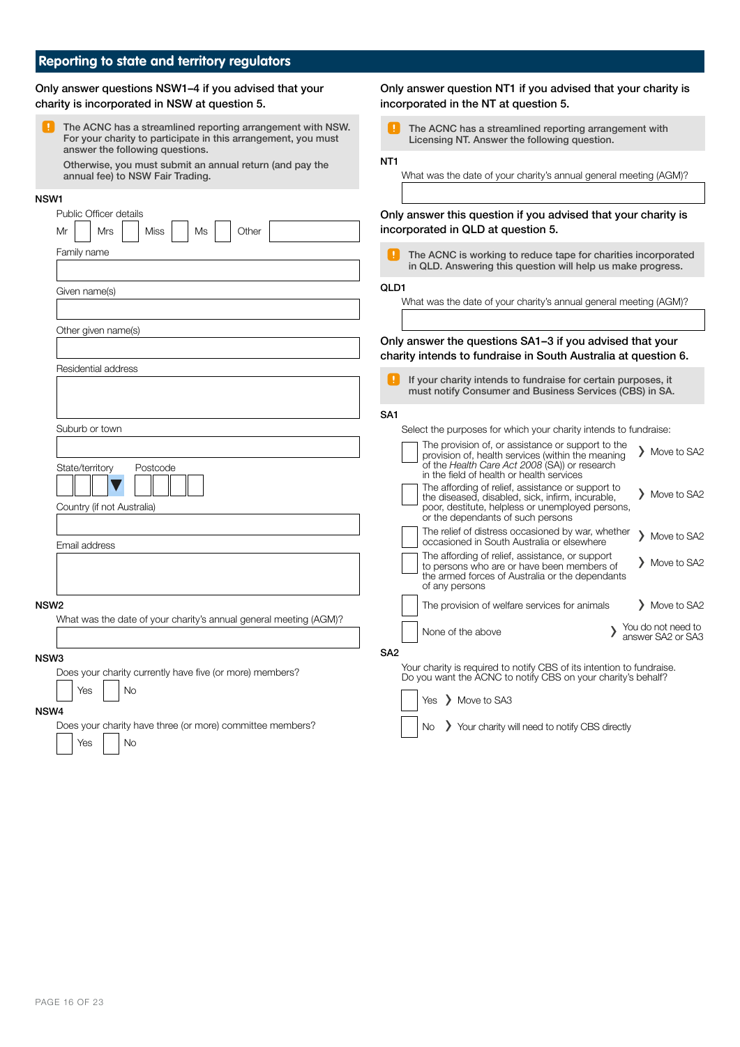# **Reporting to state and territory regulators**

| Only answer questions NSW1-4 if you advised that your<br>charity is incorporated in NSW at question 5.                                                         | Only answer question NT1 if you advised that your charity is<br>incorporated in the NT at question 5.                                                                                                                 |
|----------------------------------------------------------------------------------------------------------------------------------------------------------------|-----------------------------------------------------------------------------------------------------------------------------------------------------------------------------------------------------------------------|
| The ACNC has a streamlined reporting arrangement with NSW.<br>For your charity to participate in this arrangement, you must<br>answer the following questions. | The ACNC has a streamlined reporting arrangement with<br>Licensing NT. Answer the following question.                                                                                                                 |
| Otherwise, you must submit an annual return (and pay the<br>annual fee) to NSW Fair Trading.                                                                   | NT <sub>1</sub><br>What was the date of your charity's annual general meeting (AGM)?                                                                                                                                  |
| NSW1                                                                                                                                                           |                                                                                                                                                                                                                       |
| Public Officer details<br><b>Miss</b><br>Other<br>Mr<br>Mrs<br>Ms                                                                                              | Only answer this question if you advised that your charity is<br>incorporated in QLD at question 5.                                                                                                                   |
| Family name                                                                                                                                                    | H.<br>The ACNC is working to reduce tape for charities incorporated<br>in QLD. Answering this question will help us make progress.                                                                                    |
| Given name(s)                                                                                                                                                  | QLD1<br>What was the date of your charity's annual general meeting (AGM)?                                                                                                                                             |
| Other given name(s)                                                                                                                                            |                                                                                                                                                                                                                       |
|                                                                                                                                                                | Only answer the questions SA1-3 if you advised that your<br>charity intends to fundraise in South Australia at question 6.                                                                                            |
| Residential address                                                                                                                                            | If your charity intends to fundraise for certain purposes, it<br>must notify Consumer and Business Services (CBS) in SA.                                                                                              |
|                                                                                                                                                                | SA <sub>1</sub>                                                                                                                                                                                                       |
| Suburb or town                                                                                                                                                 | Select the purposes for which your charity intends to fundraise:                                                                                                                                                      |
| State/territory<br>Postcode                                                                                                                                    | The provision of, or assistance or support to the<br>> Move to SA2<br>provision of, health services (within the meaning<br>of the Health Care Act 2008 (SA)) or research<br>in the field of health or health services |
| Country (if not Australia)                                                                                                                                     | The affording of relief, assistance or support to<br>> Move to SA2<br>the diseased, disabled, sick, infirm, incurable,<br>poor, destitute, helpless or unemployed persons,<br>or the dependants of such persons       |
| Email address                                                                                                                                                  | The relief of distress occasioned by war, whether<br>> Move to SA2<br>occasioned in South Australia or elsewhere                                                                                                      |
|                                                                                                                                                                | The affording of relief, assistance, or support<br>> Move to SA2<br>to persons who are or have been members of<br>the armed forces of Australia or the dependants<br>of any persons                                   |
| NSW <sub>2</sub>                                                                                                                                               | The provision of welfare services for animals<br>> Move to SA2                                                                                                                                                        |
| What was the date of your charity's annual general meeting (AGM)?                                                                                              | You do not need to<br>None of the above<br>answer SA2 or SA3                                                                                                                                                          |
| NSW3                                                                                                                                                           | SA <sub>2</sub>                                                                                                                                                                                                       |
| Does your charity currently have five (or more) members?                                                                                                       | Your charity is required to notify CBS of its intention to fundraise.<br>Do you want the ACNC to notify CBS on your charity's behalf?                                                                                 |
| No<br>Yes                                                                                                                                                      | Yes > Move to SA3                                                                                                                                                                                                     |
| NSW4<br>Does your charity have three (or more) committee members?                                                                                              | > Your charity will need to notify CBS directly<br>No.                                                                                                                                                                |
| No<br>Yes                                                                                                                                                      |                                                                                                                                                                                                                       |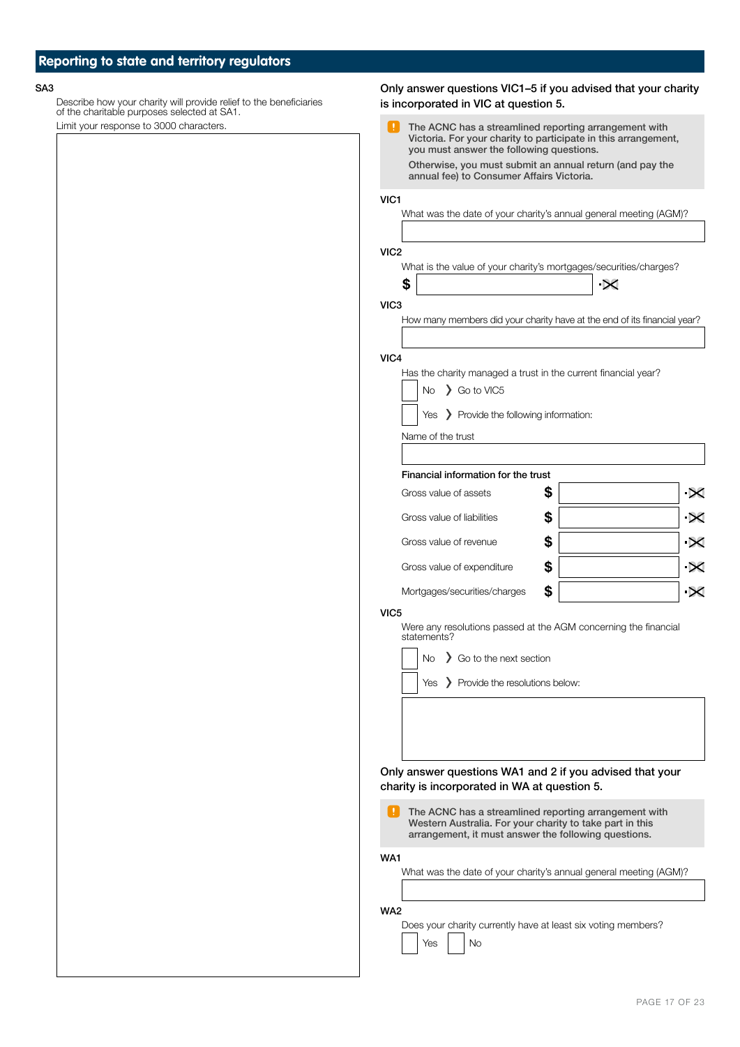Describe how your charity will provide relief to the beneficiaries of the charitable purposes selected at SA1. Limit your response to 3000 characters.

SA3 Only answer questions VIC1–5 if you advised that your charity is incorporated in VIC at question 5.

| Ш<br>The ACNC has a streamlined reporting arrangement with<br>Victoria. For your charity to participate in this arrangement,<br>you must answer the following questions.<br>Otherwise, you must submit an annual return (and pay the<br>annual fee) to Consumer Affairs Victoria.<br>VIC1<br>What was the date of your charity's annual general meeting (AGM)?<br>VIC2<br>What is the value of your charity's mortgages/securities/charges?<br>\$<br>$\propto$<br>VIC3<br>How many members did your charity have at the end of its financial year?<br>VIC4<br>Has the charity managed a trust in the current financial year?<br>$No \quad$ Go to VIC5<br>Yes > Provide the following information:<br>Name of the trust<br>Financial information for the trust<br>\$<br>Gross value of assets<br>\$<br>Gross value of liabilities<br>\$<br>Gross value of revenue<br>\$<br>Gross value of expenditure<br>\$<br>Mortgages/securities/charges<br>VIC <sub>5</sub><br>Were any resolutions passed at the AGM concerning the financial<br>statements?<br>So to the next section<br>No<br>Yes > Provide the resolutions below:<br>Only answer questions WA1 and 2 if you advised that your<br>charity is incorporated in WA at question 5.<br>Ŧ.<br>The ACNC has a streamlined reporting arrangement with<br>Western Australia. For your charity to take part in this<br>arrangement, it must answer the following questions.<br>WA1<br>What was the date of your charity's annual general meeting (AGM)? |     |  |  |
|-----------------------------------------------------------------------------------------------------------------------------------------------------------------------------------------------------------------------------------------------------------------------------------------------------------------------------------------------------------------------------------------------------------------------------------------------------------------------------------------------------------------------------------------------------------------------------------------------------------------------------------------------------------------------------------------------------------------------------------------------------------------------------------------------------------------------------------------------------------------------------------------------------------------------------------------------------------------------------------------------------------------------------------------------------------------------------------------------------------------------------------------------------------------------------------------------------------------------------------------------------------------------------------------------------------------------------------------------------------------------------------------------------------------------------------------------------------------------------------------------------|-----|--|--|
|                                                                                                                                                                                                                                                                                                                                                                                                                                                                                                                                                                                                                                                                                                                                                                                                                                                                                                                                                                                                                                                                                                                                                                                                                                                                                                                                                                                                                                                                                                     |     |  |  |
|                                                                                                                                                                                                                                                                                                                                                                                                                                                                                                                                                                                                                                                                                                                                                                                                                                                                                                                                                                                                                                                                                                                                                                                                                                                                                                                                                                                                                                                                                                     |     |  |  |
|                                                                                                                                                                                                                                                                                                                                                                                                                                                                                                                                                                                                                                                                                                                                                                                                                                                                                                                                                                                                                                                                                                                                                                                                                                                                                                                                                                                                                                                                                                     |     |  |  |
|                                                                                                                                                                                                                                                                                                                                                                                                                                                                                                                                                                                                                                                                                                                                                                                                                                                                                                                                                                                                                                                                                                                                                                                                                                                                                                                                                                                                                                                                                                     |     |  |  |
|                                                                                                                                                                                                                                                                                                                                                                                                                                                                                                                                                                                                                                                                                                                                                                                                                                                                                                                                                                                                                                                                                                                                                                                                                                                                                                                                                                                                                                                                                                     |     |  |  |
|                                                                                                                                                                                                                                                                                                                                                                                                                                                                                                                                                                                                                                                                                                                                                                                                                                                                                                                                                                                                                                                                                                                                                                                                                                                                                                                                                                                                                                                                                                     |     |  |  |
|                                                                                                                                                                                                                                                                                                                                                                                                                                                                                                                                                                                                                                                                                                                                                                                                                                                                                                                                                                                                                                                                                                                                                                                                                                                                                                                                                                                                                                                                                                     |     |  |  |
|                                                                                                                                                                                                                                                                                                                                                                                                                                                                                                                                                                                                                                                                                                                                                                                                                                                                                                                                                                                                                                                                                                                                                                                                                                                                                                                                                                                                                                                                                                     |     |  |  |
|                                                                                                                                                                                                                                                                                                                                                                                                                                                                                                                                                                                                                                                                                                                                                                                                                                                                                                                                                                                                                                                                                                                                                                                                                                                                                                                                                                                                                                                                                                     |     |  |  |
|                                                                                                                                                                                                                                                                                                                                                                                                                                                                                                                                                                                                                                                                                                                                                                                                                                                                                                                                                                                                                                                                                                                                                                                                                                                                                                                                                                                                                                                                                                     |     |  |  |
|                                                                                                                                                                                                                                                                                                                                                                                                                                                                                                                                                                                                                                                                                                                                                                                                                                                                                                                                                                                                                                                                                                                                                                                                                                                                                                                                                                                                                                                                                                     |     |  |  |
|                                                                                                                                                                                                                                                                                                                                                                                                                                                                                                                                                                                                                                                                                                                                                                                                                                                                                                                                                                                                                                                                                                                                                                                                                                                                                                                                                                                                                                                                                                     |     |  |  |
|                                                                                                                                                                                                                                                                                                                                                                                                                                                                                                                                                                                                                                                                                                                                                                                                                                                                                                                                                                                                                                                                                                                                                                                                                                                                                                                                                                                                                                                                                                     |     |  |  |
|                                                                                                                                                                                                                                                                                                                                                                                                                                                                                                                                                                                                                                                                                                                                                                                                                                                                                                                                                                                                                                                                                                                                                                                                                                                                                                                                                                                                                                                                                                     |     |  |  |
|                                                                                                                                                                                                                                                                                                                                                                                                                                                                                                                                                                                                                                                                                                                                                                                                                                                                                                                                                                                                                                                                                                                                                                                                                                                                                                                                                                                                                                                                                                     |     |  |  |
|                                                                                                                                                                                                                                                                                                                                                                                                                                                                                                                                                                                                                                                                                                                                                                                                                                                                                                                                                                                                                                                                                                                                                                                                                                                                                                                                                                                                                                                                                                     |     |  |  |
|                                                                                                                                                                                                                                                                                                                                                                                                                                                                                                                                                                                                                                                                                                                                                                                                                                                                                                                                                                                                                                                                                                                                                                                                                                                                                                                                                                                                                                                                                                     |     |  |  |
|                                                                                                                                                                                                                                                                                                                                                                                                                                                                                                                                                                                                                                                                                                                                                                                                                                                                                                                                                                                                                                                                                                                                                                                                                                                                                                                                                                                                                                                                                                     |     |  |  |
|                                                                                                                                                                                                                                                                                                                                                                                                                                                                                                                                                                                                                                                                                                                                                                                                                                                                                                                                                                                                                                                                                                                                                                                                                                                                                                                                                                                                                                                                                                     |     |  |  |
|                                                                                                                                                                                                                                                                                                                                                                                                                                                                                                                                                                                                                                                                                                                                                                                                                                                                                                                                                                                                                                                                                                                                                                                                                                                                                                                                                                                                                                                                                                     |     |  |  |
|                                                                                                                                                                                                                                                                                                                                                                                                                                                                                                                                                                                                                                                                                                                                                                                                                                                                                                                                                                                                                                                                                                                                                                                                                                                                                                                                                                                                                                                                                                     |     |  |  |
|                                                                                                                                                                                                                                                                                                                                                                                                                                                                                                                                                                                                                                                                                                                                                                                                                                                                                                                                                                                                                                                                                                                                                                                                                                                                                                                                                                                                                                                                                                     |     |  |  |
|                                                                                                                                                                                                                                                                                                                                                                                                                                                                                                                                                                                                                                                                                                                                                                                                                                                                                                                                                                                                                                                                                                                                                                                                                                                                                                                                                                                                                                                                                                     |     |  |  |
|                                                                                                                                                                                                                                                                                                                                                                                                                                                                                                                                                                                                                                                                                                                                                                                                                                                                                                                                                                                                                                                                                                                                                                                                                                                                                                                                                                                                                                                                                                     |     |  |  |
|                                                                                                                                                                                                                                                                                                                                                                                                                                                                                                                                                                                                                                                                                                                                                                                                                                                                                                                                                                                                                                                                                                                                                                                                                                                                                                                                                                                                                                                                                                     |     |  |  |
|                                                                                                                                                                                                                                                                                                                                                                                                                                                                                                                                                                                                                                                                                                                                                                                                                                                                                                                                                                                                                                                                                                                                                                                                                                                                                                                                                                                                                                                                                                     |     |  |  |
|                                                                                                                                                                                                                                                                                                                                                                                                                                                                                                                                                                                                                                                                                                                                                                                                                                                                                                                                                                                                                                                                                                                                                                                                                                                                                                                                                                                                                                                                                                     |     |  |  |
|                                                                                                                                                                                                                                                                                                                                                                                                                                                                                                                                                                                                                                                                                                                                                                                                                                                                                                                                                                                                                                                                                                                                                                                                                                                                                                                                                                                                                                                                                                     |     |  |  |
|                                                                                                                                                                                                                                                                                                                                                                                                                                                                                                                                                                                                                                                                                                                                                                                                                                                                                                                                                                                                                                                                                                                                                                                                                                                                                                                                                                                                                                                                                                     |     |  |  |
|                                                                                                                                                                                                                                                                                                                                                                                                                                                                                                                                                                                                                                                                                                                                                                                                                                                                                                                                                                                                                                                                                                                                                                                                                                                                                                                                                                                                                                                                                                     |     |  |  |
|                                                                                                                                                                                                                                                                                                                                                                                                                                                                                                                                                                                                                                                                                                                                                                                                                                                                                                                                                                                                                                                                                                                                                                                                                                                                                                                                                                                                                                                                                                     |     |  |  |
|                                                                                                                                                                                                                                                                                                                                                                                                                                                                                                                                                                                                                                                                                                                                                                                                                                                                                                                                                                                                                                                                                                                                                                                                                                                                                                                                                                                                                                                                                                     |     |  |  |
|                                                                                                                                                                                                                                                                                                                                                                                                                                                                                                                                                                                                                                                                                                                                                                                                                                                                                                                                                                                                                                                                                                                                                                                                                                                                                                                                                                                                                                                                                                     |     |  |  |
|                                                                                                                                                                                                                                                                                                                                                                                                                                                                                                                                                                                                                                                                                                                                                                                                                                                                                                                                                                                                                                                                                                                                                                                                                                                                                                                                                                                                                                                                                                     |     |  |  |
|                                                                                                                                                                                                                                                                                                                                                                                                                                                                                                                                                                                                                                                                                                                                                                                                                                                                                                                                                                                                                                                                                                                                                                                                                                                                                                                                                                                                                                                                                                     |     |  |  |
| Does your charity currently have at least six voting members?<br>No<br>Yes                                                                                                                                                                                                                                                                                                                                                                                                                                                                                                                                                                                                                                                                                                                                                                                                                                                                                                                                                                                                                                                                                                                                                                                                                                                                                                                                                                                                                          | WA2 |  |  |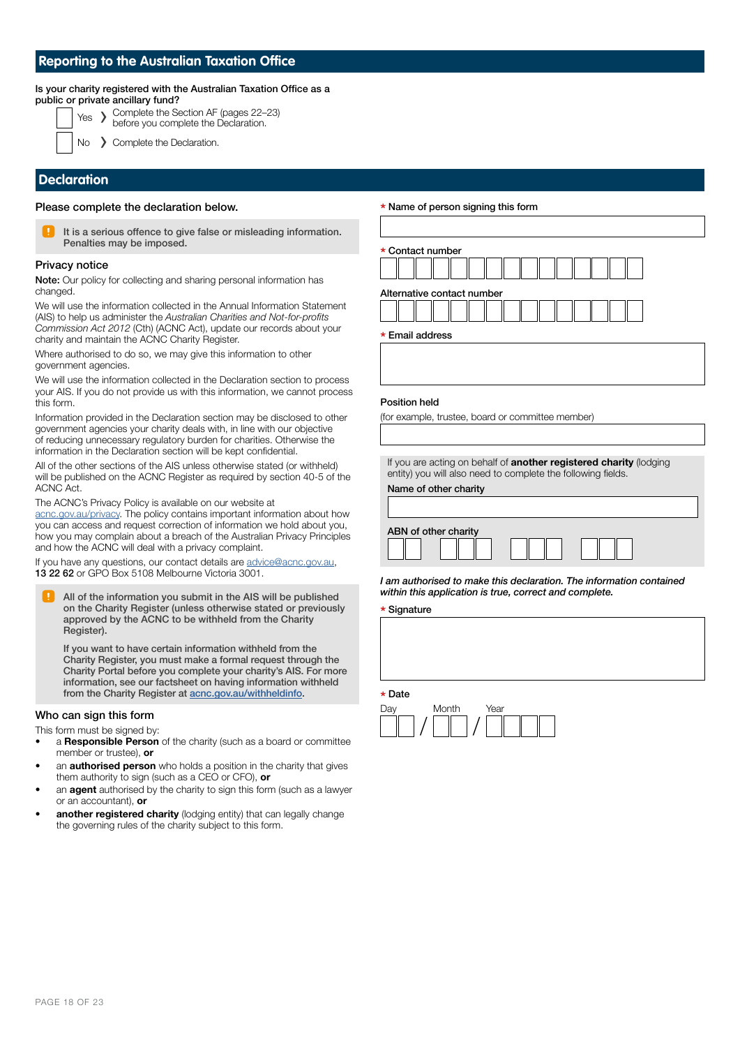### **Reporting to the Australian Taxation Office**

#### Is your charity registered with the Australian Taxation Office as a pub

|  | blic or private ancillary fund?                                                     |
|--|-------------------------------------------------------------------------------------|
|  | Yes > Complete the Section AF (pages 22-23)<br>before you complete the Declaration. |

> Complete the Declaration.

### **Declaration**

Please complete the declaration below.



It is a serious offence to give false or misleading information. Penalties may be imposed.

### Privacy notice

Note: Our policy for collecting and sharing personal information has changed.

We will use the information collected in the Annual Information Statement (AIS) to help us administer the Australian Charities and Not-for-profits *Commission Act 2012* (Cth) (ACNC Act), update our records about your charity and maintain the ACNC Charity Register.

Where authorised to do so, we may give this information to other government agencies.

We will use the information collected in the Declaration section to process your AIS. If you do not provide us with this information, we cannot process this form.

Information provided in the Declaration section may be disclosed to other government agencies your charity deals with, in line with our objective of reducing unnecessary regulatory burden for charities. Otherwise the information in the Declaration section will be kept confidential.

All of the other sections of the AIS unless otherwise stated (or withheld) will be published on the ACNC Register as required by section 40-5 of the ACNC Act.

The ACNC's Privacy Policy is available on our website at

[acnc.gov.au/privacy.](http://www.acnc.gov.au/privacy) The policy contains important information about how you can access and request correction of information we hold about you, how you may complain about a breach of the Australian Privacy Principles and how the ACNC will deal with a privacy complaint.

If you have any questions, our contact details are [advice@acnc.gov.au,](mailto:advice@acnc.gov.au) 13 22 62 or GPO Box 5108 Melbourne Victoria 3001.

All of the information you submit in the AIS will be published on the Charity Register (unless otherwise stated or previously approved by the ACNC to be withheld from the Charity Register).

If you want to have certain information withheld from the Charity Register, you must make a formal request through the Charity Portal before you complete your charity's AIS. For more information, see our factsheet on having information withheld from the Charity Register at **[acnc.gov.au/withheldinfo.](http://acnc.gov.au/withheldinfo)** 

### Who can sign this form

This form must be signed by:

- a Responsible Person of the charity (such as a board or committee member or trustee), or
- an **authorised person** who holds a position in the charity that gives them authority to sign (such as a CEO or CFO), or
- an **agent** authorised by the charity to sign this form (such as a lawyer or an accountant), or
- another registered charity (lodging entity) that can legally change the governing rules of the charity subject to this form.

### \* Name of person signing this form

| * Contact number           |  |  |  |  |  |  |  |
|----------------------------|--|--|--|--|--|--|--|
|                            |  |  |  |  |  |  |  |
| Alternative contact number |  |  |  |  |  |  |  |
|                            |  |  |  |  |  |  |  |

\* Email address

#### Position held

(for example, trustee, board or committee member)

If you are acting on behalf of **another registered charity** (lodging entity) you will also need to complete the following fields. Name of other charity

| ABN of other charity |  |  |  |  |  |  |  |
|----------------------|--|--|--|--|--|--|--|
|                      |  |  |  |  |  |  |  |

I am authorised to make this declaration. The information contained within this application is true, correct and complete.

\* Signature

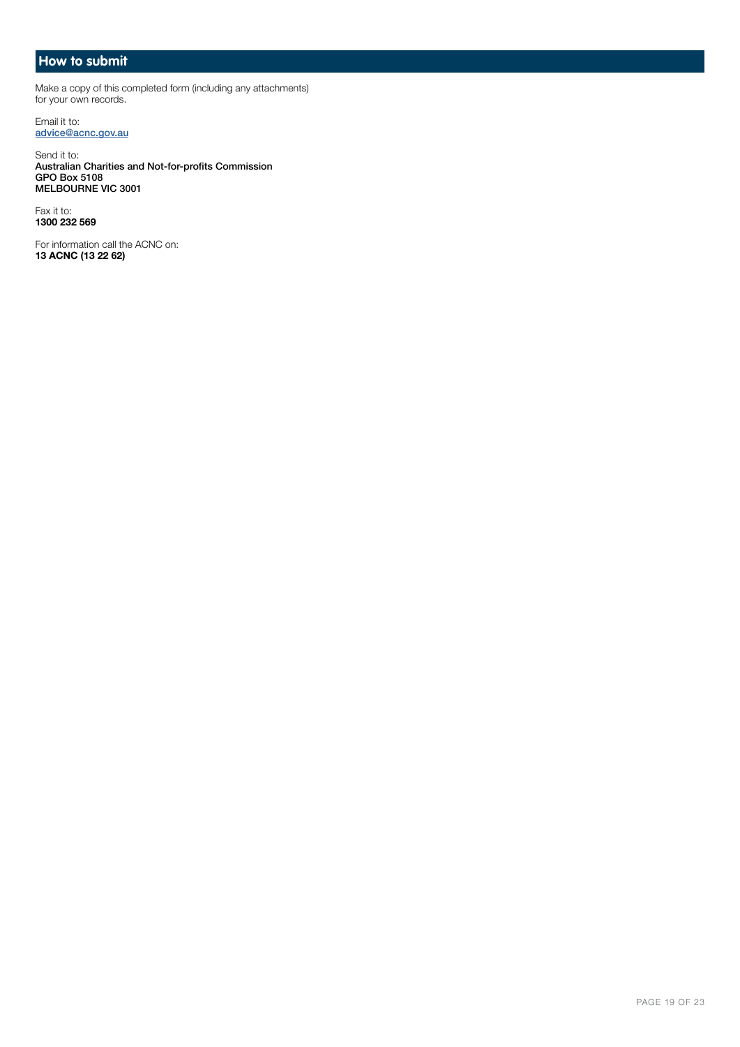### **How to submit**

Make a copy of this completed form (including any attachments) for your own records.

Email it to: [advice@acnc.gov.au](mailto:advice@acnc.gov.au)

Send it to: Australian Charities and Not-for-profits Commission GPO Box 5108 MELBOURNE VIC 3001

Fax it to: 1300 232 569

For information call the ACNC on: 13 ACNC (13 22 62)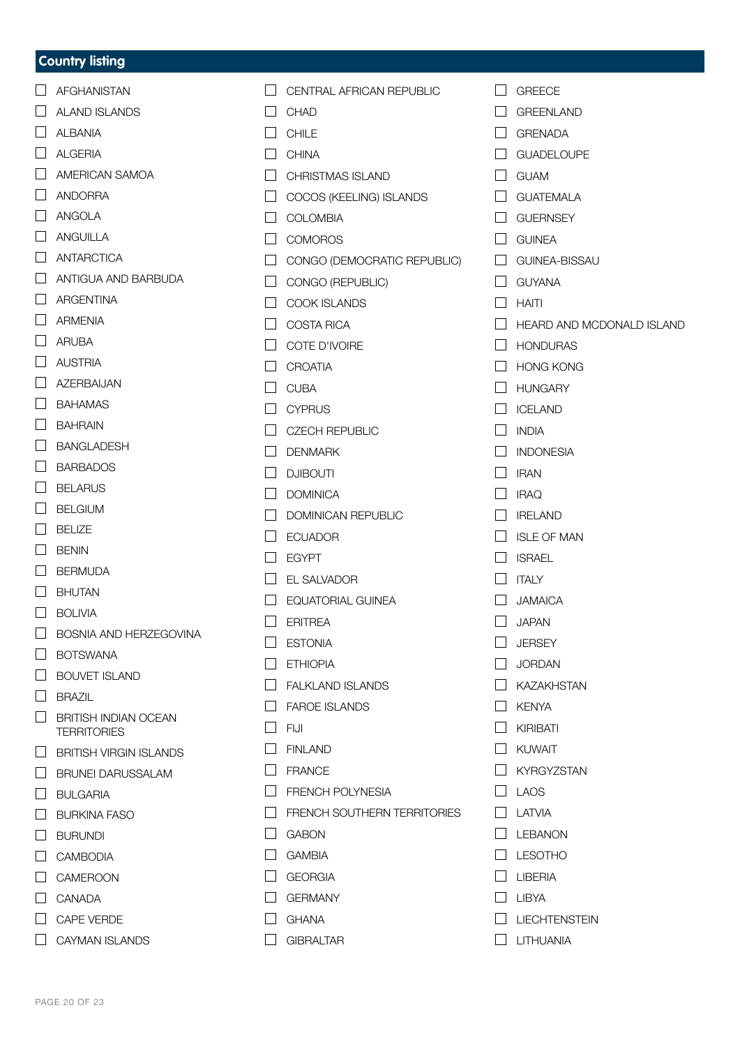### **Country listing**

|                   | AFGHANISTAN                         |
|-------------------|-------------------------------------|
|                   | $\Box$ ALAND ISLANDS                |
|                   | $\Box$ ALBANIA                      |
|                   | $\Box$ ALGERIA                      |
|                   | AMERICAN SAMOA                      |
|                   | ANDORRA                             |
|                   | $\Box$ ANGOLA                       |
|                   | $\Box$ ANGUILLA                     |
|                   | ANTARCTICA                          |
|                   | ANTIGUA AND BARBUDA                 |
|                   | ARGENTINA                           |
|                   | $\Box$ ARMENIA                      |
|                   | $\Box$ ARUBA                        |
|                   | $\Box$ AUSTRIA                      |
|                   | AZERBAIJAN                          |
|                   | $\Box$ BAHAMAS                      |
|                   | $\Box$ BAHRAIN                      |
|                   | $\Box$ BANGLADESH                   |
|                   | $\Box$ BARBADOS                     |
|                   | $\Box$ BELARUS                      |
|                   | $\Box$ BELGIUM                      |
|                   | $\Box$ BELIZE                       |
|                   | $\Box$ BENIN                        |
|                   | $\Box$ BERMUDA                      |
|                   | $\Box$ BHUTAN                       |
|                   | $\Box$ BOLIVIA                      |
| $\Box$            | <b>BOSNIA AND HERZEGOVINA</b>       |
|                   | <b>BOTSWANA</b>                     |
|                   | <b>BOUVET ISLAND</b>                |
| $\Box$            | BRAZIL                              |
|                   | BRITISH INDIAN OCEAN<br>TERRITORIES |
|                   | <b>BRITISH VIRGIN ISLANDS</b>       |
| $\Box$            | BRUNEI DARUSSALAM                   |
| $\Box$            | BULGARIA                            |
|                   | BURKINA FASO                        |
|                   | <b>BURUNDI</b>                      |
|                   | <b>CAMBODIA</b>                     |
| $\vert \ \ \vert$ | <b>CAMEROON</b>                     |
|                   | CANADA                              |
|                   | <b>CAPE VERDE</b>                   |
|                   | CAYMAN ISLANDS                      |
|                   |                                     |

 $\Box$  CHAD  $\Box$  CHILE  $\Box$  CHINA CHRISTMAS ISLAND COCOS (KEELING) ISLANDS  $\Box$  COLOMBIA  $\Box$  COMOROS CONGO (DEMOCRATIC REPUBLIC) CONGO (REPUBLIC)  $\Box$  COOK ISLANDS  $\Box$  COSTA RICA  $\Box$  COTE D'IVOIRE  $\Box$  CROATIA  $\Box$  CUBA  $\Box$  CYPRUS  $\Box$  CZECH REPUBLIC  $\Box$  DENMARK  $\Box$  DJIBOUTI  $\Box$  DOMINICA DOMINICAN REPUBLIC  $\Box$  ECUADOR  $\Box$  EGYPT EL SALVADOR  $\Box$  EQUATORIAL GUINEA  $\Box$  FRITREA  $\Box$  ESTONIA  $\Box$  FTHIOPIA **FALKLAND ISLANDS** FAROE ISLANDS  $\Box$  FIJI **FINLAND**  $\Box$  FRANCE **FRENCH POLYNESIA E** FRENCH SOUTHERN TERRITORIES  $\Box$  GABON  $\Box$  GAMBIA  $\Box$  GEORGIA GERMANY  $\Box$  GHANA

 $\Box$  CENTRAL AFRICAN REPUBLIC

 $\Box$  GIBRALTAR

- $\Box$  GREECE
- GREENLAND
- GRENADA
- $\Box$  GUADELOUPE
- $\Box$  GUAM
- **C** GUATEMALA
- **GUERNSEY**
- **COUNEA**
- **COUNEA-BISSAU**
- $\Box$  GUYANA
- $\Box$  HAITI
- HEARD AND MCDONALD ISLAND
- $\Box$  HONDURAS
- $\Box$  HONG KONG
- $\Box$  HUNGARY
- $\Box$  ICELAND
- $\Box$  INDIA
- $\Box$  INDONESIA
- $\Box$  IRAN
- $\Box$  IRAQ
- $\Box$  IRELAND
- $\Box$  ISLE OF MAN
- $\Box$  ISRAEL
- $\Box$  ITALY
- **JAMAICA**
- $\Box$  JAPAN
- $\Box$  JERSEY
- $\Box$ JORDAN
- $\Box$  KAZAKHSTAN
- $\Box$  KENYA
- $\Box$  KIRIBATI
- **NUWAIT**
- $\Box$  KYRGYZSTAN
- $\Box$  LAOS
- $\Box$  LATVIA
- $LEBANON$
- $\Box$  LESOTHO
- $\Box$  LIBERIA
- $\Box$  LIBYA
- $\Box$  LIECHTENSTEIN
- $\Box$  LITHUANIA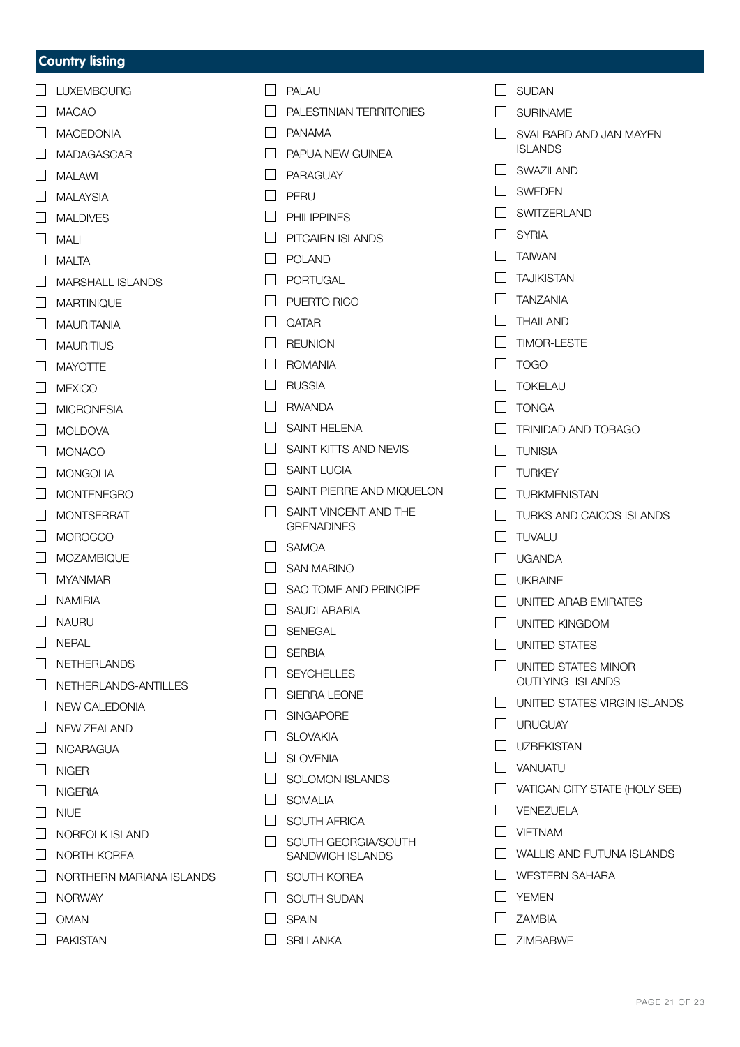### **Country listing**

- $\Box$  LUXEMBOURG
- MACAO
- $\Box$  MACEDONIA
- MADAGASCAR
- $\Box$  MAI AWI
- $\Box$  MALAYSIA
- $\Box$  MAI DIVES
- $\Box$  MALI
- $MATA$
- **NARSHALL ISLANDS**
- **NARTINIQUE**
- **NAURITANIA**
- $\Box$  MAURITIUS
- $\Box$  MAYOTTE
- $\Box$  MEXICO
- **NICRONESIA**
- $\Box$  MOLDOVA
- **NONACO**
- $\Box$  MONGOLIA
- **NONTENEGRO**
- **NONTSERRAT**
- $\Box$  MOROCCO
- **MOZAMBIQUE**
- **NYANMAR**
- **NAMIBIA**
- $\Box$  NAURU
- $\Box$  NFPAL
- $\Box$  NETHERLANDS
- NETHERLANDS-ANTILLES
- NEW CALEDONIA
- **NEW ZEALAND**
- **NICARAGUA**
- $\Box$  NIGER
- NIGERIA
- $\Box$  NIUE
- $\Box$  NORFOLK ISLAND
- $\Box$  NORTH KOREA
- $\Box$  NORTHERN MARIANA ISLANDS
- **NORWAY**
- $\Box$  OMAN
- $\Box$  PAKISTAN
- $\Box$  PALAU
- $\Box$  PALESTINIAN TERRITORIES
- PANAMA
- **PAPUA NEW GUINEA**
- $\Box$  PARAGUAY
- $\Box$  PERU
- $\Box$  PHII IPPINES
- **PITCAIRN ISLANDS**
- $\Box$  POLAND
- $\Box$  PORTUGAL
- $\Box$  PUERTO RICO
- $\Box$  OATAR
- $\Box$  REUNION
- ROMANIA
- $\Box$  RUSSIA
- **D** RWANDA
- SAINT HELENA
- $\Box$  SAINT KITTS AND NEVIS
- $\Box$  SAINT LUCIA
- SAINT PIERRE AND MIQUELON
- $\Box$  SAINT VINCENT AND THE **GRENADINES**
- $\Box$  SAMOA
- **NO** SAN MARINO
- $\Box$  SAO TOME AND PRINCIPE
- $\Box$  SAUDI ARABIA
- $\Box$  SENEGAL
- $\Box$  SERBIA
- **N** SEYCHELLES
- SIERRA LEONE
- SINGAPORE
- **N** SLOVAKIA
- $\Box$  SLOVENIA
- **SOLOMON ISLANDS**
- $\Box$  SOMALIA
- $\Box$  SOUTH AFRICA
- **Notify** SOUTH GEORGIA/SOUTH SANDWICH ISLANDS
- $\Box$  SOUTH KOREA
- $\Box$  SOUTH SUDAN
- $\Box$  SPAIN
- $\Box$  SRI LANKA
- $\Box$  SUDAN
- **N** SURINAME
- $\Box$  SVALBARD AND JAN MAYEN ISLANDS
- SWAZILAND
- $\Box$  SWEDEN
- $\Box$  SWITZERLAND
- $\Box$  SYRIA
- **TAIWAN**
- **TAJIKISTAN**
- $\Box$  TANZANIA
- $\Box$  THAILAND
- $\Box$  TIMOR-LESTE
- $\Box$  TOGO
- $\Box$  TOKELAU
- $\Box$  TONGA
- $\Box$  TRINIDAD AND TOBAGO

 $\Box$  TURKS AND CAICOS ISLANDS

UNITED ARAB EMIRATES

 $\Box$  UNITED STATES MINOR OUTLYING ISLANDS

 $\Box$  UNITED STATES VIRGIN ISLANDS

**NATICAN CITY STATE (HOLY SEE)** 

WALLIS AND FUTUNA ISLANDS

UNITED KINGDOM  $\Box$  UNITED STATES

 $\Box$  URUGUAY  $\Box$  UZBEKISTAN VANUATU

 $\Box$  VENEZUELA **NETNAM** 

**NO** YEMEN  $\Box$  ZAMBIA  $\n *ZINARM*$ 

WESTERN SAHARA

PAGE 21 OF [23](#page-22-0)

- $\Box$  TUNISIA
- $\Box$  TURKEY

 $\Box$  TUVALU UGANDA  $\Box$  UKRAINE

 $\Box$  TURKMENISTAN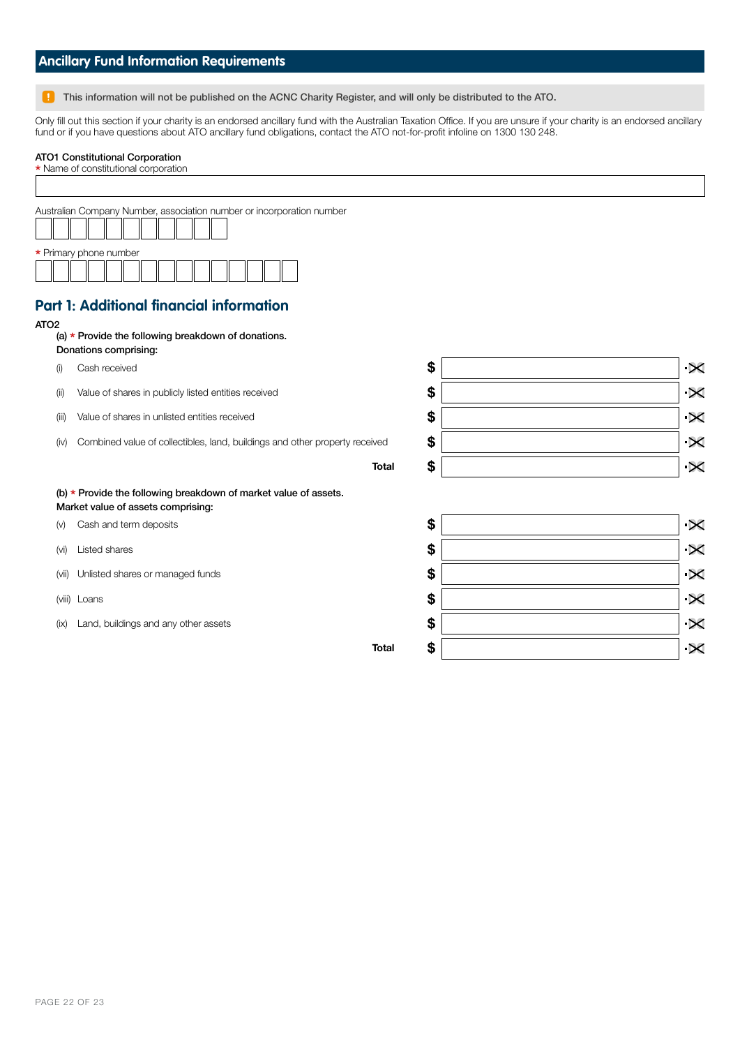| <b>Ancillary Fund Information Requirements</b> |  |  |  |  |
|------------------------------------------------|--|--|--|--|
|                                                |  |  |  |  |

**This information will not be published on the ACNC Charity Register, and will only be distributed to the ATO.** 

Only fill out this section if your charity is an endorsed ancillary fund with the Australian Taxation Office. If you are unsure if your charity is an endorsed ancillary fund or if you have questions about ATO ancillary fund obligations, contact the ATO not-for-profit infoline on 1300 130 248.

## ATO1 Constitutional Corporation

| * Name of constitutional corporation                                        |                                                                                                                                                                                                                                                                                                                                                              |                       |
|-----------------------------------------------------------------------------|--------------------------------------------------------------------------------------------------------------------------------------------------------------------------------------------------------------------------------------------------------------------------------------------------------------------------------------------------------------|-----------------------|
|                                                                             |                                                                                                                                                                                                                                                                                                                                                              |                       |
|                                                                             |                                                                                                                                                                                                                                                                                                                                                              |                       |
|                                                                             |                                                                                                                                                                                                                                                                                                                                                              |                       |
|                                                                             |                                                                                                                                                                                                                                                                                                                                                              |                       |
|                                                                             |                                                                                                                                                                                                                                                                                                                                                              |                       |
|                                                                             |                                                                                                                                                                                                                                                                                                                                                              |                       |
|                                                                             |                                                                                                                                                                                                                                                                                                                                                              |                       |
|                                                                             |                                                                                                                                                                                                                                                                                                                                                              |                       |
|                                                                             |                                                                                                                                                                                                                                                                                                                                                              |                       |
|                                                                             |                                                                                                                                                                                                                                                                                                                                                              |                       |
| Cash received                                                               | \$                                                                                                                                                                                                                                                                                                                                                           | $\boldsymbol{\times}$ |
| Value of shares in publicly listed entities received                        | \$                                                                                                                                                                                                                                                                                                                                                           | $\boldsymbol{\times}$ |
| Value of shares in unlisted entities received                               | \$                                                                                                                                                                                                                                                                                                                                                           | $\boldsymbol{\times}$ |
| Combined value of collectibles, land, buildings and other property received | \$                                                                                                                                                                                                                                                                                                                                                           | $\boldsymbol{\times}$ |
| <b>Total</b>                                                                | \$                                                                                                                                                                                                                                                                                                                                                           | $\overline{\times}$   |
|                                                                             |                                                                                                                                                                                                                                                                                                                                                              |                       |
|                                                                             |                                                                                                                                                                                                                                                                                                                                                              |                       |
| Cash and term deposits                                                      | \$                                                                                                                                                                                                                                                                                                                                                           | $\overline{\times}$   |
| Listed shares                                                               | \$                                                                                                                                                                                                                                                                                                                                                           | $\boldsymbol{\times}$ |
| Unlisted shares or managed funds                                            | \$                                                                                                                                                                                                                                                                                                                                                           | $\boldsymbol{\times}$ |
|                                                                             | \$                                                                                                                                                                                                                                                                                                                                                           | $\boldsymbol{\times}$ |
| Land, buildings and any other assets                                        | \$                                                                                                                                                                                                                                                                                                                                                           | $\boldsymbol{\times}$ |
| <b>Total</b>                                                                | \$                                                                                                                                                                                                                                                                                                                                                           | $\overline{\times}$   |
|                                                                             | Australian Company Number, association number or incorporation number<br>* Primary phone number<br><b>Part 1: Additional financial information</b><br>(a) * Provide the following breakdown of donations.<br>Donations comprising:<br>(b) * Provide the following breakdown of market value of assets.<br>Market value of assets comprising:<br>(viii) Loans |                       |